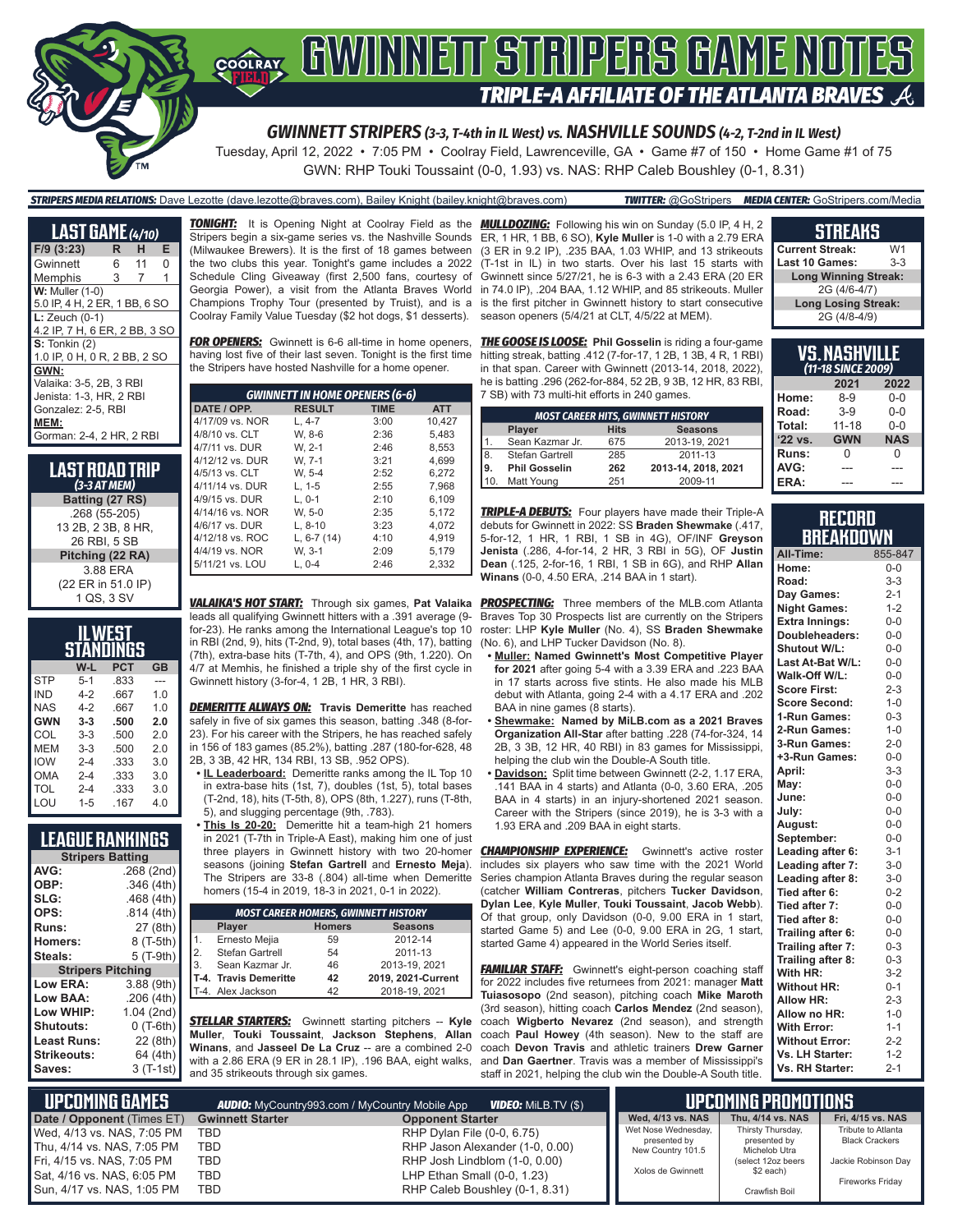

*GWINNETT STRIPERS (3-3, T-4th in IL West) vs. NASHVILLE SOUNDS (4-2, T-2nd in IL West)*

Tuesday, April 12, 2022 • 7:05 PM • Coolray Field, Lawrenceville, GA • Game #7 of 150 • Home Game #1 of 75 GWN: RHP Touki Toussaint (0-0, 1.93) vs. NAS: RHP Caleb Boushley (0-1, 8.31)

### *STRIPERS MEDIA RELATIONS:* Dave Lezotte (dave.lezotte@braves.com), Bailey Knight (bailey.knight@braves.com) *TWITTER:* @GoStripers *MEDIA CENTER:* GoStripers.com/Media

| <b>LAST GAME</b> (4/10)       |   |    |   |
|-------------------------------|---|----|---|
| F/9 (3:23)                    | R | н  | Е |
| Gwinnett                      | 6 | 11 | 0 |
| Memphis                       | 3 | 7  | 1 |
| <b>W: Muller (1-0)</b>        |   |    |   |
| 5.0 IP, 4 H, 2 ER, 1 BB, 6 SO |   |    |   |
| $L:$ Zeuch $(0-1)$            |   |    |   |
| 4.2 IP, 7 H, 6 ER, 2 BB, 3 SO |   |    |   |
| $S:$ Tonkin $(2)$             |   |    |   |
| 1.0 IP, 0 H, 0 R, 2 BB, 2 SO  |   |    |   |
| GWN:                          |   |    |   |
| Valaika: 3-5, 2B, 3 RBI       |   |    |   |
| Jenista: 1-3. HR. 2 RBI       |   |    |   |
| Gonzalez: 2-5, RBI            |   |    |   |
| MEM:                          |   |    |   |
| Gorman: 2-4, 2 HR, 2 RBI      |   |    |   |

**LAST ROAD TRIP** *(3-3 AT MEM)* **Batting (27 RS)** .268 (55-205) 13 2B, 2 3B, 8 HR, 26 RBI, 5 SB **Pitching (22 RA)** 3.88 ERA (22 ER in 51.0 IP) 1 QS, 3 SV

| WEST<br>STANDINGS |         |            |           |
|-------------------|---------|------------|-----------|
|                   | W-L     | <b>PCT</b> | <b>GB</b> |
| <b>STP</b>        | $5 - 1$ | .833       |           |
| IND               | $4 - 2$ | .667       | 1.0       |
| <b>NAS</b>        | $4 - 2$ | .667       | 1.0       |
| <b>GWN</b>        | $3 - 3$ | .500       | 2.0       |
| COL               | $3-3$   | .500       | 20        |
| MEM               | $3-3$   | .500       | 2.0       |
| <b>IOW</b>        | $2 - 4$ | .333       | 3.0       |
| OMA               | $2 - 4$ | .333       | 3.0       |
| TOL               | $2 - 4$ | .333       | 3.0       |
| LOU               | $1 - 5$ | .167       | 4 N       |

### **LEAGUE RANKINGS**

|                    | <b>Stripers Batting</b>  |
|--------------------|--------------------------|
| AVG:               | .268 (2nd)               |
| OBP:               | .346(4th)                |
| SLG:               | .468(4th)                |
| OPS:               | .814(4th)                |
| Runs:              | 27 (8th)                 |
| Homers:            | 8 (T-5th)                |
| Steals:            | 5 (T-9th)                |
|                    | <b>Stripers Pitching</b> |
| Low ERA:           | 3.88 (9th)               |
| Low BAA:           | .206(4th)                |
| Low WHIP:          | 1.04 (2nd)               |
| <b>Shutouts:</b>   | $0($ T-6th $)$           |
| Least Runs:        | 22 (8th)                 |
| <b>Strikeouts:</b> | 64 (4th)                 |
| Saves:             | $3(T-1st)$               |

the two clubs this year. Tonight's game includes a 2022 Schedule Cling Giveaway (first 2,500 fans, courtesy of Coolray Family Value Tuesday (\$2 hot dogs, \$1 desserts).

*FOR OPENERS:* Gwinnett is 6-6 all-time in home openers, *THE GOOSE IS LOOSE:* **Phil Gosselin** is riding a four-game having lost five of their last seven. Tonight is the first time \_hitting streak, batting .412 (7-for-17, 1 2B, 1 3B, 4 R, 1 RBI) the Stripers have hosted Nashville for a home opener.

| <b>GWINNETT IN HOME OPENERS (6-6)</b> |               |             |            |
|---------------------------------------|---------------|-------------|------------|
| DATE / OPP.                           | <b>RESULT</b> | <b>TIME</b> | <b>ATT</b> |
| 4/17/09 vs. NOR                       | $L.4 - 7$     | 3:00        | 10,427     |
| 4/8/10 vs. CLT                        | W. 8-6        | 2:36        | 5,483      |
| 4/7/11 vs. DUR                        | W. 2-1        | 2:46        | 8.553      |
| 4/12/12 vs. DUR                       | W. 7-1        | 3:21        | 4.699      |
| 4/5/13 vs. CLT                        | W. 5-4        | 2:52        | 6.272      |
| 4/11/14 vs. DUR                       | $L. 1-5$      | 2:55        | 7.968      |
| 4/9/15 vs. DUR                        | $L.0-1$       | 2:10        | 6,109      |
| 4/14/16 vs. NOR                       | W. 5-0        | 2:35        | 5.172      |
| 4/6/17 vs. DUR                        | $L.8-10$      | 3:23        | 4.072      |
| 4/12/18 vs. ROC                       | L, $6-7(14)$  | 4:10        | 4.919      |
| 4/4/19 vs. NOR                        | W. 3-1        | 2:09        | 5.179      |
| 5/11/21 vs. LOU                       | $L. 0-4$      | 2:46        | 2.332      |
|                                       |               |             |            |

*VALAIKA'S HOT START:* Through six games, **Pat Valaika** leads all qualifying Gwinnett hitters with a .391 average (9 for-23). He ranks among the International League's top 10 in RBI (2nd, 9), hits (T-2nd, 9), total bases (4th, 17), batting (7th), extra-base hits (T-7th, 4), and OPS (9th, 1.220). On 4/7 at Memhis, he finished a triple shy of the first cycle in Gwinnett history (3-for-4, 1 2B, 1 HR, 3 RBI).

*DEMERITTE ALWAYS ON:* **Travis Demeritte** has reached safely in five of six games this season, batting .348 (8-for-23). For his career with the Stripers, he has reached safely in 156 of 183 games (85.2%), batting .287 (180-for-628, 48 2B, 3 3B, 42 HR, 134 RBI, 13 SB, .952 OPS).

- **• IL Leaderboard:** Demeritte ranks among the IL Top 10 in extra-base hits (1st, 7), doubles (1st, 5), total bases (T-2nd, 18), hits (T-5th, 8), OPS (8th, 1.227), runs (T-8th, 5), and slugging percentage (9th, .783).
- **• This Is 20-20:** Demeritte hit a team-high 21 homers in 2021 (T-7th in Triple-A East), making him one of just three players in Gwinnett history with two 20-homer seasons (joining **Stefan Gartrell** and **Ernesto Meja**). The Stripers are 33-8 (.804) all-time when Demeritte homers (15-4 in 2019, 18-3 in 2021, 0-1 in 2022).

|                  | <b>MOST CAREER HOMERS, GWINNETT HISTORY</b> |    |                    |  |
|------------------|---------------------------------------------|----|--------------------|--|
|                  | Player<br><b>Homers</b><br><b>Seasons</b>   |    |                    |  |
|                  | Ernesto Mejia                               | 59 | 2012-14            |  |
| $\vert 2. \vert$ | Stefan Gartrell                             | 54 | 2011-13            |  |
| 3.               | Sean Kazmar Jr.                             | 46 | 2013-19, 2021      |  |
|                  | T-4. Travis Demeritte                       | 42 | 2019, 2021-Current |  |
|                  | T-4. Alex Jackson                           | 42 | 2018-19, 2021      |  |

*STELLAR STARTERS:* Gwinnett starting pitchers -- **Kyle Muller**, **Touki Toussaint**, **Jackson Stephens**, **Allan Winans**, and **Jasseel De La Cruz** -- are a combined 2-0 with a 2.86 ERA (9 ER in 28.1 IP), .196 BAA, eight walks, and 35 strikeouts through six games.

*TONIGHT:* It is Opening Night at Coolray Field as the *MULLDOZING:* Following his win on Sunday (5.0 IP, 4 H, 2 Stripers begin a six-game series vs. the Nashville Sounds ER, 1 HR, 1 BB, 6 SO), **Kyle Muller** is 1-0 with a 2.79 ERA (Milwaukee Brewers). It is the first of 18 games between (3 ER in 9.2 IP), .235 BAA, 1.03 WHIP, and 13 strikeouts Georgia Power), a visit from the Atlanta Braves World in 74.0 IP), .204 BAA, 1.12 WHIP, and 85 strikeouts. Muller Champions Trophy Tour (presented by Truist), and is a is the first pitcher in Gwinnett history to start consecutive (T-1st in IL) in two starts. Over his last 15 starts with Gwinnett since 5/27/21, he is 6-3 with a 2.43 ERA (20 ER season openers (5/4/21 at CLT, 4/5/22 at MEM).

> in that span. Career with Gwinnett (2013-14, 2018, 2022), he is batting .296 (262-for-884, 52 2B, 9 3B, 12 HR, 83 RBI, 7 SB) with 73 multi-hit efforts in 240 games.

| <b>MOST CAREER HITS, GWINNETT HISTORY</b> |                      |             |                     |  |
|-------------------------------------------|----------------------|-------------|---------------------|--|
|                                           | Player               | <b>Hits</b> | <b>Seasons</b>      |  |
| 1.                                        | Sean Kazmar Jr.      | 675         | 2013-19, 2021       |  |
| 8.                                        | Stefan Gartrell      | 285         | 2011-13             |  |
| 9.                                        | <b>Phil Gosselin</b> | 262         | 2013-14, 2018, 2021 |  |
| 10.                                       | Matt Young           | 251         | 2009-11             |  |

*TRIPLE-A DEBUTS:* Four players have made their Triple-A debuts for Gwinnett in 2022: SS **Braden Shewmake** (.417, 5-for-12, 1 HR, 1 RBI, 1 SB in 4G), OF/INF **Greyson Jenista** (.286, 4-for-14, 2 HR, 3 RBI in 5G), OF **Justin Dean** (.125, 2-for-16, 1 RBI, 1 SB in 6G), and RHP **Allan Winans** (0-0, 4.50 ERA, .214 BAA in 1 start).

**PROSPECTING:** Three members of the MLB.com Atlanta Braves Top 30 Prospects list are currently on the Stripers roster: LHP **Kyle Muller** (No. 4), SS **Braden Shewmake**  (No. 6), and LHP Tucker Davidson (No. 8).

- **• Muller: Named Gwinnett's Most Competitive Player for 2021** after going 5-4 with a 3.39 ERA and .223 BAA in 17 starts across five stints. He also made his MLB debut with Atlanta, going 2-4 with a 4.17 ERA and .202 BAA in nine games (8 starts).
- **• Shewmake: Named by MiLB.com as a 2021 Braves Organization All-Star** after batting .228 (74-for-324, 14 2B, 3 3B, 12 HR, 40 RBI) in 83 games for Mississippi, helping the club win the Double-A South title.
- **• Davidson:** Split time between Gwinnett (2-2, 1.17 ERA, .141 BAA in 4 starts) and Atlanta (0-0, 3.60 ERA, .205 BAA in 4 starts) in an injury-shortened 2021 season. Career with the Stripers (since 2019), he is 3-3 with a 1.93 ERA and .209 BAA in eight starts.

**CHAMPIONSHIP EXPERIENCE:** Gwinnett's active roster includes six players who saw time with the 2021 World Series champion Atlanta Braves during the regular season (catcher **William Contreras**, pitchers **Tucker Davidson**, **Dylan Lee**, **Kyle Muller**, **Touki Toussaint**, **Jacob Webb**). Of that group, only Davidson (0-0, 9.00 ERA in 1 start, started Game 5) and Lee (0-0, 9.00 ERA in 2G, 1 start, started Game 4) appeared in the World Series itself.

**FAMILIAR STAFF:** Gwinnett's eight-person coaching staff for 2022 includes five returnees from 2021: manager **Matt Tuiasosopo** (2nd season), pitching coach **Mike Maroth**  (3rd season), hitting coach **Carlos Mendez** (2nd season), coach **Wigberto Nevarez** (2nd season), and strength coach **Paul Howey** (4th season). New to the staff are coach **Devon Travis** and athletic trainers **Drew Garner** and **Dan Gaertner**. Travis was a member of Mississippi's staff in 2021, helping the club win the Double-A South title.

### **STREAKS**

| <b>Current Streak:</b>      | W1    |
|-----------------------------|-------|
| <b>Last 10 Games:</b>       | $3-3$ |
| <b>Long Winning Streak:</b> |       |
| 2G (4/6-4/7)                |       |
| <b>Long Losing Streak:</b>  |       |
| 2G (4/8-4/9)                |       |

| VS.NASHVILLE<br>(11-18 SINCE 2009) |            |            |
|------------------------------------|------------|------------|
| 2021<br>2022                       |            |            |
| Home:                              | $8 - 9$    | $0 - 0$    |
| Road:                              | $3-9$      | $0 - 0$    |
| Total:                             | $11 - 18$  | $0 - 0$    |
| '22 vs.                            | <b>GWN</b> | <b>NAS</b> |
| Runs:                              | U          | U          |
| AVG:                               |            |            |
| ERA:                               |            |            |

#### **RECORD BREAKDOWN**

| All-Time:             | 855-847 |
|-----------------------|---------|
| Home:                 | $0-0$   |
| Road:                 | $3 - 3$ |
| Day Games:            | $2 - 1$ |
| <b>Night Games:</b>   | $1 - 2$ |
| <b>Extra Innings:</b> | $0-0$   |
| Doubleheaders:        | $0-0$   |
| Shutout W/L:          | $0-0$   |
| Last At-Bat W/L:      | $0 - 0$ |
| Walk-Off W/L:         | $0-0$   |
| <b>Score First:</b>   | $2 - 3$ |
| <b>Score Second:</b>  | $1 - 0$ |
| 1-Run Games:          | $0 - 3$ |
| 2-Run Games:          | $1 - 0$ |
| 3-Run Games:          | $2 - 0$ |
| +3-Run Games:         | $0 - 0$ |
| April:                | $3 - 3$ |
| May:                  | $0 - 0$ |
| June:                 | $0-0$   |
| July:                 | $0-0$   |
| August:               | $0-0$   |
| September:            | $0-0$   |
| Leading after 6:      | $3 - 1$ |
| Leading after 7:      | $3 - 0$ |
| Leading after 8:      | $3-0$   |
| Tied after 6:         | $0 - 2$ |
| Tied after 7:         | $0 - 0$ |
| Tied after 8:         | $0 - 0$ |
| Trailing after 6:     | $0 - 0$ |
| Trailing after 7:     | $0 - 3$ |
| Trailing after 8:     | $0 - 3$ |
| With HR:              | $3-2$   |
| <b>Without HR:</b>    | $0 - 1$ |
| <b>Allow HR:</b>      | $2 - 3$ |
| Allow no HR:          | $1 - 0$ |
| <b>With Error:</b>    | $1 - 1$ |
| <b>Without Error:</b> | $2 - 2$ |
| Vs. LH Starter:       | $1 - 2$ |
| Vs. RH Starter:       | $2 - 1$ |

| <b>UPCOMING GAMES</b><br><b>VIDEO:</b> MILB.TV (\$)<br><b>AUDIO:</b> MyCountry993.com / MyCountry Mobile App |                         |                                 | UPCOMING PROMOTIONS               |                                   |                                             |
|--------------------------------------------------------------------------------------------------------------|-------------------------|---------------------------------|-----------------------------------|-----------------------------------|---------------------------------------------|
| Date / Opponent (Times ET)                                                                                   | <b>Gwinnett Starter</b> | <b>Opponent Starter</b>         | Wed, 4/13 vs. NAS                 | Thu. 4/14 vs. NAS                 | Fri, 4/15 vs. NAS                           |
| Wed, 4/13 vs. NAS, 7:05 PM                                                                                   | TBD                     | RHP Dylan File (0-0, 6.75)      | Wet Nose Wednesday,               | Thirsty Thursday,<br>presented by | Tribute to Atlanta<br><b>Black Crackers</b> |
| Thu, 4/14 vs. NAS, 7:05 PM                                                                                   | TBD                     | RHP Jason Alexander (1-0, 0.00) | presented by<br>New Country 101.5 | Michelob Utra                     |                                             |
| l Fri. 4/15 vs. NAS. 7:05 PM                                                                                 | <b>TBD</b>              | RHP Josh Lindblom (1-0, 0.00)   |                                   | (select 12oz beers                | Jackie Robinson Day                         |
| Sat, 4/16 vs. NAS, 6:05 PM                                                                                   | <b>TBD</b>              | LHP Ethan Small (0-0, 1.23)     | Xolos de Gwinnett                 | \$2 each)                         | <b>Fireworks Fridav</b>                     |
| Sun, 4/17 vs. NAS, 1:05 PM                                                                                   | TBD                     | RHP Caleb Boushley (0-1, 8.31)  |                                   | Crawfish Boil                     |                                             |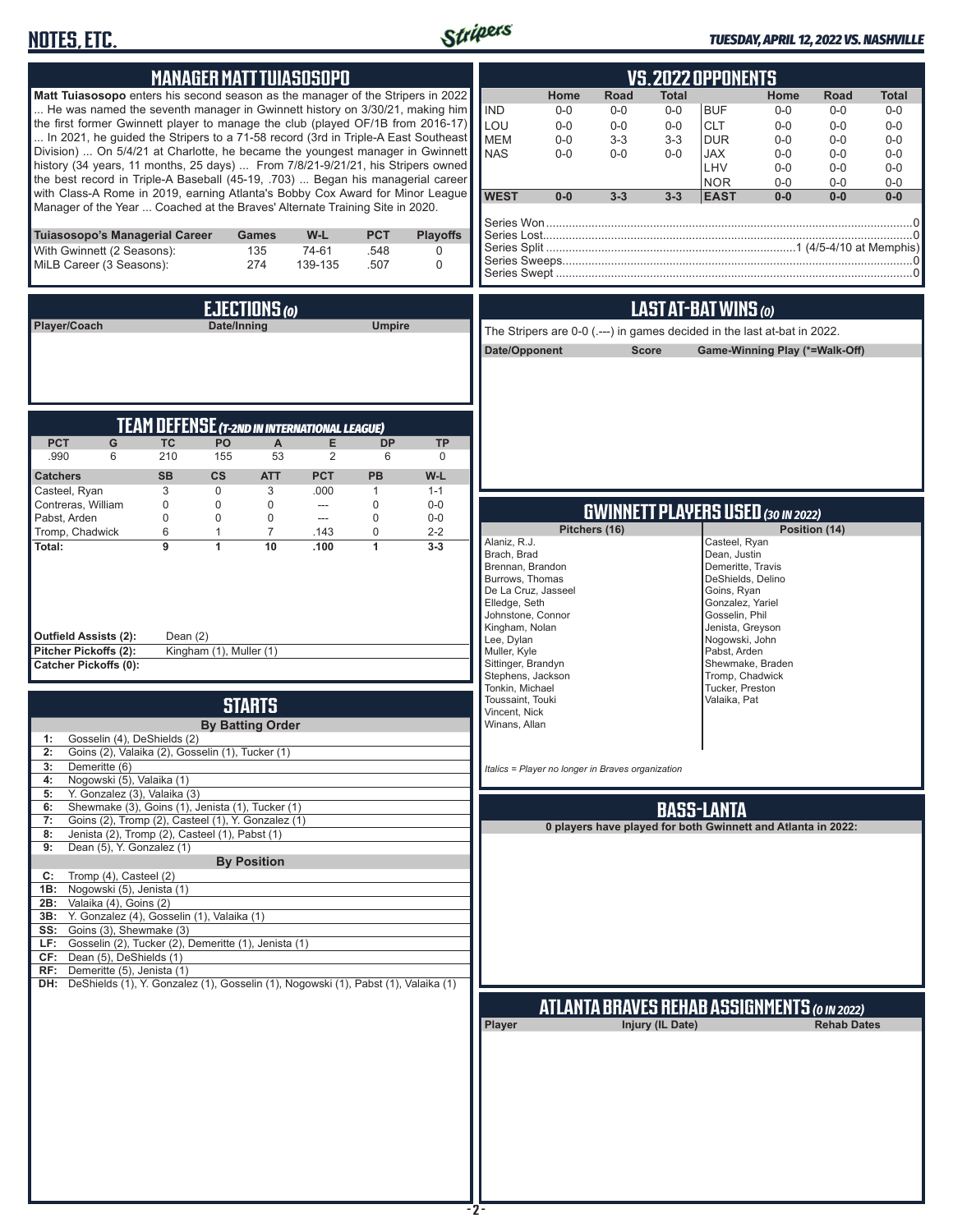# **NOTES, ETC.**



### *TUESDAY, APRIL 12, 2022 VS. NASHVILLE*

| <b>MANAGER MATT TUIASOSOPO</b>                                                                                                                                                                  | <b>VS.2022 OPPONENTS</b>                                                                                                                                      |
|-------------------------------------------------------------------------------------------------------------------------------------------------------------------------------------------------|---------------------------------------------------------------------------------------------------------------------------------------------------------------|
| <b>Matt Tuiasosopo</b> enters his second season as the manager of the Stripers in 2022                                                                                                          | Home<br>Road<br><b>Total</b><br>Home<br>Road<br><b>Total</b>                                                                                                  |
| He was named the seventh manager in Gwinnett history on 3/30/21, making him                                                                                                                     | <b>IND</b><br><b>BUF</b><br>$0-0$<br>$0-0$<br>$0-0$<br>$0-0$<br>$0-0$<br>$0-0$                                                                                |
| the first former Gwinnett player to manage the club (played OF/1B from 2016-17)<br>In 2021, he guided the Stripers to a 71-58 record (3rd in Triple-A East Southeast                            | LOU<br><b>CLT</b><br>$0-0$<br>$0-0$<br>$0-0$<br>$0-0$<br>$0 - 0$<br>$0-0$<br><b>MEM</b><br>$3 - 3$<br><b>DUR</b><br>$0-0$<br>$3-3$<br>$0-0$<br>$0-0$<br>$0-0$ |
| Division)  On 5/4/21 at Charlotte, he became the youngest manager in Gwinnett                                                                                                                   | <b>NAS</b><br>$0-0$<br><b>JAX</b><br>$0 - 0$<br>$0-0$<br>$0-0$<br>$0-0$<br>$0-0$                                                                              |
| history (34 years, 11 months, 25 days)  From 7/8/21-9/21/21, his Stripers owned                                                                                                                 | LHV<br>$0-0$<br>$0-0$<br>$0-0$                                                                                                                                |
| the best record in Triple-A Baseball (45-19, .703)  Began his managerial career<br>with Class-A Rome in 2019, earning Atlanta's Bobby Cox Award for Minor League                                | <b>NOR</b><br>$0 - 0$<br>$0-0$<br>$0-0$<br><b>WEST</b><br>$0-0$<br>$3 - 3$<br>$3 - 3$<br><b>EAST</b><br>$0-0$<br>$0-0$<br>$0-0$                               |
| Manager of the Year  Coached at the Braves' Alternate Training Site in 2020.                                                                                                                    |                                                                                                                                                               |
| Tuiasosopo's Managerial Career<br><b>Games</b><br>$W-L$<br><b>PCT</b><br><b>Playoffs</b>                                                                                                        |                                                                                                                                                               |
| 74-61<br>With Gwinnett (2 Seasons):<br>135<br>.548<br>0                                                                                                                                         |                                                                                                                                                               |
| 274<br>MiLB Career (3 Seasons):<br>139-135<br>.507<br>$\Omega$                                                                                                                                  | /0.com/science.com/inter-text/education/community/community/community/community/                                                                              |
|                                                                                                                                                                                                 |                                                                                                                                                               |
| EJECTIONS (0)                                                                                                                                                                                   | LAST AT-BAT WINS (0)                                                                                                                                          |
| <b>Umpire</b><br>Player/Coach<br>Date/Inning                                                                                                                                                    | The Stripers are 0-0 ( .--- ) in games decided in the last at-bat in 2022.                                                                                    |
|                                                                                                                                                                                                 | Date/Opponent<br><b>Score</b><br>Game-Winning Play (*=Walk-Off)                                                                                               |
|                                                                                                                                                                                                 |                                                                                                                                                               |
|                                                                                                                                                                                                 |                                                                                                                                                               |
|                                                                                                                                                                                                 |                                                                                                                                                               |
| <b>TEAM DEFENSE (T-2ND IN INTERNATIONAL LEAGUE)</b>                                                                                                                                             |                                                                                                                                                               |
| P <sub>O</sub><br><b>PCT</b><br>G<br>Е<br><b>TC</b><br>A<br><b>DP</b><br><b>TP</b><br>.990<br>6<br>210<br>155<br>53<br>2<br>6<br>$\mathbf 0$                                                    |                                                                                                                                                               |
| <b>SB</b><br>$\mathsf{cs}$<br><b>PCT</b><br>PB<br>W-L<br><b>Catchers</b><br><b>ATT</b>                                                                                                          |                                                                                                                                                               |
| 3<br>$\mathbf 0$<br>Casteel, Ryan<br>3<br>.000<br>$\mathbf{1}$<br>$1 - 1$                                                                                                                       |                                                                                                                                                               |
| Contreras, William<br>$\mathbf 0$<br>$\mathbf 0$<br>$\mathbf 0$<br>$\mathbf 0$<br>$0 - 0$<br>$\cdots$                                                                                           | <b>GWINNETT PLAYERS USED (30 IN 2022)</b>                                                                                                                     |
| Pabst, Arden<br>$\mathbf 0$<br>$\mathbf 0$<br>0<br>$\mathbf 0$<br>$\hspace{0.05cm} \ldots$<br>$0-0$<br>$\mathbf 0$<br>Tromp, Chadwick<br>6<br>$\mathbf{1}$<br>$\overline{7}$<br>.143<br>$2 - 2$ | Pitchers (16)<br>Position (14)                                                                                                                                |
| Total:<br>9<br>$\mathbf{1}$<br>10<br>.100<br>$\mathbf{1}$<br>$3 - 3$                                                                                                                            | Alaniz, R.J.<br>Casteel, Ryan<br>Brach, Brad<br>Dean, Justin                                                                                                  |
|                                                                                                                                                                                                 | Brennan, Brandon<br>Demeritte, Travis                                                                                                                         |
|                                                                                                                                                                                                 | Burrows, Thomas<br>DeShields, Delino<br>De La Cruz, Jasseel<br>Goins, Ryan                                                                                    |
|                                                                                                                                                                                                 | Elledge, Seth<br>Gonzalez, Yariel                                                                                                                             |
|                                                                                                                                                                                                 | Johnstone, Connor<br>Gosselin, Phil<br>Kingham, Nolan<br>Jenista, Greyson                                                                                     |
| <b>Outfield Assists (2):</b><br>Dean $(2)$                                                                                                                                                      | Lee, Dylan<br>Nogowski, John                                                                                                                                  |
| Pitcher Pickoffs (2):<br>Kingham (1), Muller (1)<br><b>Catcher Pickoffs (0):</b>                                                                                                                | Muller, Kyle<br>Pabst, Arden<br>Sittinger, Brandyn<br>Shewmake, Braden                                                                                        |
|                                                                                                                                                                                                 | Stephens, Jackson<br>Tromp, Chadwick<br>Tucker, Preston<br>Tonkin, Michael                                                                                    |
| <b>STARTS</b>                                                                                                                                                                                   | Toussaint, Touki<br>Valaika, Pat                                                                                                                              |
| <b>By Batting Order</b>                                                                                                                                                                         | Vincent, Nick<br>Winans, Allan                                                                                                                                |
| Gosselin (4), DeShields (2)<br>1:                                                                                                                                                               |                                                                                                                                                               |
| Goins (2), Valaika (2), Gosselin (1), Tucker (1)                                                                                                                                                |                                                                                                                                                               |
| 3:<br>Demeritte (6)<br>Nogowski (5), Valaika (1)<br>4:                                                                                                                                          | Italics = Player no longer in Braves organization                                                                                                             |
| Y. Gonzalez (3), Valaika (3)<br>5:                                                                                                                                                              |                                                                                                                                                               |
| Shewmake (3), Goins (1), Jenista (1), Tucker (1)<br>6:<br>7:<br>Goins (2), Tromp (2), Casteel (1), Y. Gonzalez (1)                                                                              | <b>BASS-LANTA</b>                                                                                                                                             |
| Jenista (2), Tromp (2), Casteel (1), Pabst (1)<br>8:                                                                                                                                            | 0 players have played for both Gwinnett and Atlanta in 2022:                                                                                                  |
| Dean (5), Y. Gonzalez (1)<br>9:                                                                                                                                                                 |                                                                                                                                                               |
| <b>By Position</b><br>Tromp (4), Casteel (2)<br>C:                                                                                                                                              |                                                                                                                                                               |
| Nogowski (5), Jenista (1)<br>1B:                                                                                                                                                                |                                                                                                                                                               |
| Valaika (4), Goins (2)<br>2B:<br>Y. Gonzalez (4), Gosselin (1), Valaika (1)<br>3B:                                                                                                              |                                                                                                                                                               |
| Goins (3), Shewmake (3)<br>SS:                                                                                                                                                                  |                                                                                                                                                               |
| LF: Gosselin (2), Tucker (2), Demeritte (1), Jenista (1)                                                                                                                                        |                                                                                                                                                               |
| Dean (5), DeShields (1)<br>CF:<br>RF: Demeritte (5), Jenista (1)                                                                                                                                |                                                                                                                                                               |
| DH: DeShields (1), Y. Gonzalez (1), Gosselin (1), Nogowski (1), Pabst (1), Valaika (1)                                                                                                          |                                                                                                                                                               |
|                                                                                                                                                                                                 | <b>ATLANTA BRAVES REHAB ASSIGNMENTS (O IN 2022)</b>                                                                                                           |
|                                                                                                                                                                                                 | Injury (IL Date)<br><b>Rehab Dates</b><br>Player                                                                                                              |
|                                                                                                                                                                                                 |                                                                                                                                                               |
|                                                                                                                                                                                                 |                                                                                                                                                               |
|                                                                                                                                                                                                 |                                                                                                                                                               |
|                                                                                                                                                                                                 |                                                                                                                                                               |
|                                                                                                                                                                                                 |                                                                                                                                                               |
|                                                                                                                                                                                                 |                                                                                                                                                               |
|                                                                                                                                                                                                 |                                                                                                                                                               |
|                                                                                                                                                                                                 |                                                                                                                                                               |
|                                                                                                                                                                                                 |                                                                                                                                                               |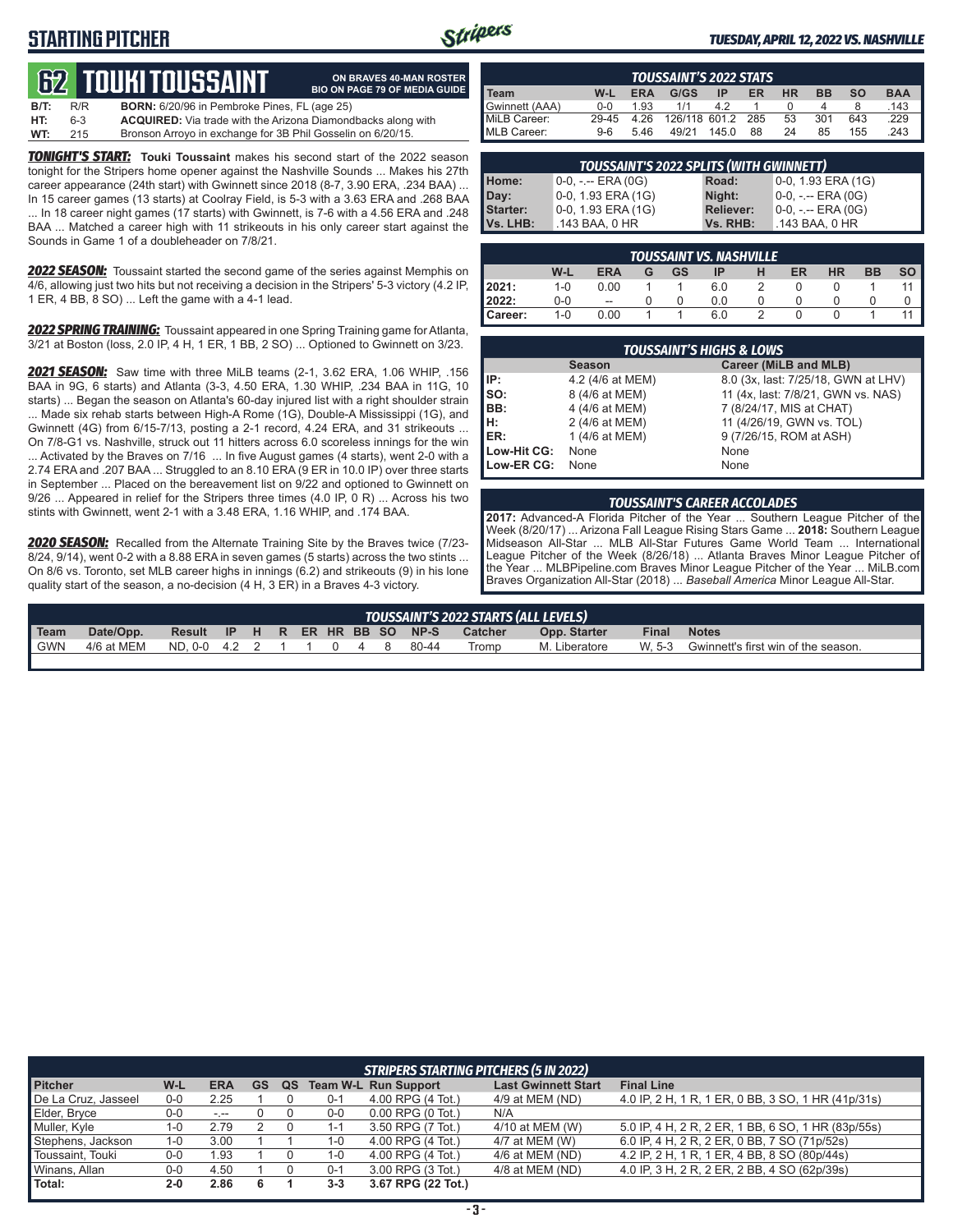# **STARTING PITCHER**



**ON BRAVES 40-MAN ROSTER BIO ON PAGE 79 OF MEDIA GUIDE**

#### *TUESDAY, APRIL 12, 2022 VS. NASHVILLE*

# **TOUKITOUSSAIN**

| <b>B/T:</b> | R/R | <b>BORN:</b> 6/20/96 in Pembroke Pines, FL (age 25)                 |
|-------------|-----|---------------------------------------------------------------------|
| HT:         | 6-3 | <b>ACQUIRED:</b> Via trade with the Arizona Diamondbacks along with |
| WT:         | 215 | Bronson Arroyo in exchange for 3B Phil Gosselin on 6/20/15.         |

*TONIGHT'S START:* **Touki Toussaint** makes his second start of the 2022 season tonight for the Stripers home opener against the Nashville Sounds ... Makes his 27th career appearance (24th start) with Gwinnett since 2018 (8-7, 3.90 ERA, .234 BAA) ... In 15 career games (13 starts) at Coolray Field, is 5-3 with a 3.63 ERA and .268 BAA ... In 18 career night games (17 starts) with Gwinnett, is 7-6 with a 4.56 ERA and .248 BAA ... Matched a career high with 11 strikeouts in his only career start against the Sounds in Game 1 of a doubleheader on 7/8/21.

*2022 SEASON:* Toussaint started the second game of the series against Memphis on 4/6, allowing just two hits but not receiving a decision in the Stripers' 5-3 victory (4.2 IP, 1 ER, 4 BB, 8 SO) ... Left the game with a 4-1 lead.

*2022 SPRING TRAINING:* Toussaint appeared in one Spring Training game for Atlanta, 3/21 at Boston (loss, 2.0 IP, 4 H, 1 ER, 1 BB, 2 SO) ... Optioned to Gwinnett on 3/23.

*2021 SEASON:* Saw time with three MiLB teams (2-1, 3.62 ERA, 1.06 WHIP, .156 BAA in 9G, 6 starts) and Atlanta (3-3, 4.50 ERA, 1.30 WHIP, .234 BAA in 11G, 10 starts) ... Began the season on Atlanta's 60-day injured list with a right shoulder strain ... Made six rehab starts between High-A Rome (1G), Double-A Mississippi (1G), and Gwinnett (4G) from 6/15-7/13, posting a 2-1 record, 4.24 ERA, and 31 strikeouts ... On 7/8-G1 vs. Nashville, struck out 11 hitters across 6.0 scoreless innings for the win ... Activated by the Braves on 7/16 ... In five August games (4 starts), went 2-0 with a 2.74 ERA and .207 BAA ... Struggled to an 8.10 ERA (9 ER in 10.0 IP) over three starts in September ... Placed on the bereavement list on 9/22 and optioned to Gwinnett on 9/26 ... Appeared in relief for the Stripers three times (4.0 IP, 0 R) ... Across his two stints with Gwinnett, went 2-1 with a 3.48 ERA, 1.16 WHIP, and .174 BAA.

*2020 SEASON:* Recalled from the Alternate Training Site by the Braves twice (7/23- 8/24, 9/14), went 0-2 with a 8.88 ERA in seven games (5 starts) across the two stints ... On 8/6 vs. Toronto, set MLB career highs in innings (6.2) and strikeouts (9) in his lone quality start of the season, a no-decision (4 H, 3 ER) in a Braves 4-3 victory.

| <b>TOUSSAINT'S 2022 STATS</b> |       |            |               |       |      |    |           |           |            |
|-------------------------------|-------|------------|---------------|-------|------|----|-----------|-----------|------------|
| l Team                        | W-L   | <b>ERA</b> | G/GS          | ΙP    | ER   | HR | <b>BB</b> | <b>SO</b> | <b>BAA</b> |
| Gwinnett (AAA)                | 0-0   | 1.93       | 1/1           | 42    |      |    |           |           | .143       |
| MiLB Career:                  | 29-45 | 4.26       | 126/118 601.2 |       | -285 | 53 | 301       | 643       | .229       |
| MLB Career:                   | $9-6$ | 5.46       | 49/21         | 145.0 | 88   | 24 | 85        | 155       | .243       |

| <b>TOUSSAINT'S 2022 SPLITS (WITH GWINNETT)</b> |                       |                  |                       |  |  |  |  |
|------------------------------------------------|-----------------------|------------------|-----------------------|--|--|--|--|
| Home:                                          | $0-0, - -$ ERA $(0G)$ | Road:            | $0-0$ , 1.93 ERA (1G) |  |  |  |  |
| Day:                                           | 0-0, 1.93 ERA (1G)    | Night:           | $0-0, - -$ ERA $(0G)$ |  |  |  |  |
| <b>Starter:</b>                                | 0-0, 1.93 ERA (1G)    | <b>Reliever:</b> | $0-0, - -$ ERA $(0G)$ |  |  |  |  |
| Vs. LHB:                                       | .143 BAA, 0 HR        | Vs. RHB:         | .143 BAA, 0 HR        |  |  |  |  |

| <b>TOUSSAINT VS. NASHVILLE</b> |         |                          |   |    |     |   |    |           |           |           |
|--------------------------------|---------|--------------------------|---|----|-----|---|----|-----------|-----------|-----------|
|                                | W-L     | ERA                      | G | GS | IP  | н | ER | <b>HR</b> | <b>BB</b> | <b>SO</b> |
| 2021:                          | $1 - 0$ | 0.00                     |   |    | 6.0 | 2 |    |           |           |           |
| 2022:                          | $0 - 0$ | $\overline{\phantom{a}}$ |   |    | 0.0 |   |    |           |           |           |
| Career:                        | $1 - 0$ | 0.00                     |   |    | 6.0 |   |    |           |           |           |

|             | <b>TOUSSAINT'S HIGHS &amp; LOWS</b> |                                     |  |  |  |  |  |
|-------------|-------------------------------------|-------------------------------------|--|--|--|--|--|
|             | <b>Season</b>                       | Career (MiLB and MLB)               |  |  |  |  |  |
| l IP:       | 4.2 (4/6 at MEM)                    | 8.0 (3x, last: 7/25/18, GWN at LHV) |  |  |  |  |  |
| lso:        | 8 (4/6 at MEM)                      | 11 (4x, last: 7/8/21, GWN vs. NAS)  |  |  |  |  |  |
| BB:         | 4 (4/6 at MEM)                      | 7 (8/24/17, MIS at CHAT)            |  |  |  |  |  |
| Iн:         | 2 (4/6 at MEM)                      | 11 (4/26/19, GWN vs. TOL)           |  |  |  |  |  |
| IER:        | 1 (4/6 at MEM)                      | 9 (7/26/15, ROM at ASH)             |  |  |  |  |  |
| Low-Hit CG: | None                                | None                                |  |  |  |  |  |
| Low-ER CG:  | None                                | None                                |  |  |  |  |  |

#### *TOUSSAINT'S CAREER ACCOLADES*

**2017:** Advanced-A Florida Pitcher of the Year ... Southern League Pitcher of the Week (8/20/17) ... Arizona Fall League Rising Stars Game ... **2018:** Southern League Midseason All-Star ... MLB All-Star Futures Game World Team ... International League Pitcher of the Week (8/26/18) ... Atlanta Braves Minor League Pitcher of the Year ... MLBPipeline.com Braves Minor League Pitcher of the Year ... MiLB.com Braves Organization All-Star (2018) ... *Baseball America* Minor League All-Star.

|            |            |                        |  |  |  |                         |                | TOUSSAINT'S 2022 STARTS (ALL LEVELS) |              |                                            |
|------------|------------|------------------------|--|--|--|-------------------------|----------------|--------------------------------------|--------------|--------------------------------------------|
| Team       | Date/Opp.  | Result                 |  |  |  | IP H R ER HR BB SO NP-S | <b>Catcher</b> | Opp. Starter                         | <b>Final</b> | <b>Notes</b>                               |
| <b>GWN</b> | 4/6 at MEM | ND.0-0 4.2 2 1 1 0 4 8 |  |  |  | 80-44                   | Tromp          | M. Liberatore                        |              | W. 5-3 Gwinnett's first win of the season. |
|            |            |                        |  |  |  |                         |                |                                      |              |                                            |

|                     | STRIPERS STARTING PITCHERS (5 IN 2022) |            |           |    |         |                             |                            |                                                    |  |
|---------------------|----------------------------------------|------------|-----------|----|---------|-----------------------------|----------------------------|----------------------------------------------------|--|
| <b>Pitcher</b>      | W-L                                    | <b>ERA</b> | <b>GS</b> | QS |         | <b>Team W-L Run Support</b> | <b>Last Gwinnett Start</b> | <b>Final Line</b>                                  |  |
| De La Cruz, Jasseel | $0 - 0$                                | 2.25       |           |    | $0 - 1$ | 4.00 RPG (4 Tot.)           | 4/9 at MEM (ND)            | 4.0 IP, 2 H, 1 R, 1 ER, 0 BB, 3 SO, 1 HR (41p/31s) |  |
| Elder, Bryce        | $0-0$                                  | $-1 - 1$   |           |    | $0-0$   | $0.00$ RPG $(0$ Tot.)       | N/A                        |                                                    |  |
| Muller, Kyle        | 1-0                                    | 2.79       |           |    | 1-1     | 3.50 RPG (7 Tot.)           | 4/10 at MEM (W)            | 5.0 IP, 4 H, 2 R, 2 ER, 1 BB, 6 SO, 1 HR (83p/55s) |  |
| Stephens, Jackson   | 1-0                                    | 3.00       |           |    | 1-0     | 4.00 RPG (4 Tot.)           | 4/7 at MEM (W)             | 6.0 IP, 4 H, 2 R, 2 ER, 0 BB, 7 SO (71p/52s)       |  |
| Toussaint, Touki    | $0-0$                                  | 1.93       |           |    | l -0    | 4.00 RPG (4 Tot.)           | 4/6 at MEM (ND)            | 4.2 IP, 2 H, 1 R, 1 ER, 4 BB, 8 SO (80p/44s)       |  |
| Winans, Allan       | $0-0$                                  | 4.50       |           |    | $0 - 1$ | 3.00 RPG (3 Tot.)           | 4/8 at MEM (ND)            | 4.0 IP, 3 H, 2 R, 2 ER, 2 BB, 4 SO (62p/39s)       |  |
| Total:              | $2 - 0$                                | 2.86       |           |    | $3 - 3$ | 3.67 RPG (22 Tot.)          |                            |                                                    |  |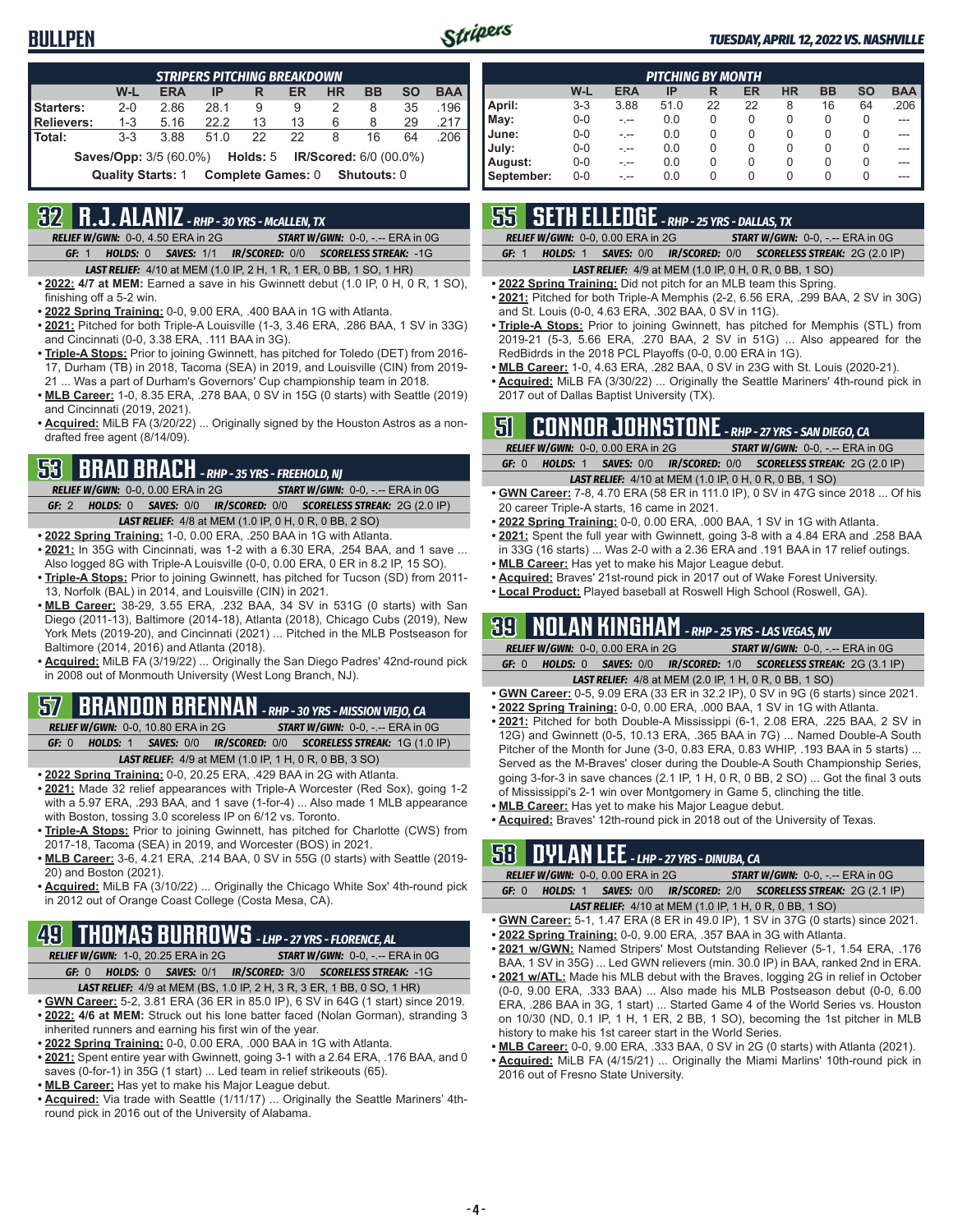

#### *TUESDAY, APRIL 12, 2022 VS. NASHVILLE*

| <b>STRIPERS PITCHING BREAKDOWN</b>                                          |                          |            |      |                          |    |           |             |           |            |
|-----------------------------------------------------------------------------|--------------------------|------------|------|--------------------------|----|-----------|-------------|-----------|------------|
|                                                                             | W-L                      | <b>ERA</b> | IP   | R                        | ER | <b>HR</b> | <b>BB</b>   | <b>SO</b> | <b>BAA</b> |
| Starters:                                                                   | $2 - 0$                  | 2.86       | 28.1 | 9                        | 9  | 2         | 8           | 35        | .196       |
| <b>Relievers:</b>                                                           | $1 - 3$                  | 5.16       | 22.2 | 13                       | 13 | 6         | 8           | 29        | .217       |
| Total:                                                                      | $3-3$                    | 3.88       | 510  | 22                       | 22 | 8         | 16          | 64        | .206       |
| <b>Saves/Opp:</b> 3/5 (60.0%) <b>Holds:</b> 5 <b>IR/Scored:</b> 6/0 (00.0%) |                          |            |      |                          |    |           |             |           |            |
|                                                                             | <b>Quality Starts: 1</b> |            |      | <b>Complete Games: 0</b> |    |           | Shutouts: 0 |           |            |

# **32 R.J. ALANIZ** *- RHP - 30 YRS - McALLEN, TX*

*RELIEF W/GWN:*0-0, 4.50 ERA in 2G *START W/GWN:*0-0, -.-- ERA in 0G *GF:*1 *HOLDS:*0 *SAVES:*1/1 *IR/SCORED:*0/0 *SCORELESS STREAK:*-1G

- *LAST RELIEF:*4/10 at MEM (1.0 IP, 2 H, 1 R, 1 ER, 0 BB, 1 SO, 1 HR)
- **• 2022: 4/7 at MEM:** Earned a save in his Gwinnett debut (1.0 IP, 0 H, 0 R, 1 SO), finishing off a 5-2 win.
- **• 2022 Spring Training:** 0-0, 9.00 ERA, .400 BAA in 1G with Atlanta.
- **• 2021:** Pitched for both Triple-A Louisville (1-3, 3.46 ERA, .286 BAA, 1 SV in 33G) and Cincinnati (0-0, 3.38 ERA, .111 BAA in 3G).
- **• Triple-A Stops:** Prior to joining Gwinnett, has pitched for Toledo (DET) from 2016- 17, Durham (TB) in 2018, Tacoma (SEA) in 2019, and Louisville (CIN) from 2019- 21 ... Was a part of Durham's Governors' Cup championship team in 2018.
- **• MLB Career:** 1-0, 8.35 ERA, .278 BAA, 0 SV in 15G (0 starts) with Seattle (2019) and Cincinnati (2019, 2021).
- **• Acquired:** MiLB FA (3/20/22) ... Originally signed by the Houston Astros as a nondrafted free agent (8/14/09).

# **53 BRAD BRACH** *- RHP - 35 YRS - FREEHOLD, NJ*

*RELIEF W/GWN:*0-0, 0.00 ERA in 2G *START W/GWN:*0-0, -.-- ERA in 0G *GF:*2 *HOLDS:*0 *SAVES:*0/0 *IR/SCORED:*0/0 *SCORELESS STREAK:*2G (2.0 IP) *LAST RELIEF:*4/8 at MEM (1.0 IP, 0 H, 0 R, 0 BB, 2 SO)

- **• 2022 Spring Training:** 1-0, 0.00 ERA, .250 BAA in 1G with Atlanta.
- **• 2021:** In 35G with Cincinnati, was 1-2 with a 6.30 ERA, .254 BAA, and 1 save ... Also logged 8G with Triple-A Louisville (0-0, 0.00 ERA, 0 ER in 8.2 IP, 15 SO).
- **• Triple-A Stops:** Prior to joining Gwinnett, has pitched for Tucson (SD) from 2011- 13, Norfolk (BAL) in 2014, and Louisville (CIN) in 2021.
- **• MLB Career:** 38-29, 3.55 ERA, .232 BAA, 34 SV in 531G (0 starts) with San Diego (2011-13), Baltimore (2014-18), Atlanta (2018), Chicago Cubs (2019), New York Mets (2019-20), and Cincinnati (2021) ... Pitched in the MLB Postseason for Baltimore (2014, 2016) and Atlanta (2018).
- **• Acquired:** MiLB FA (3/19/22) ... Originally the San Diego Padres' 42nd-round pick in 2008 out of Monmouth University (West Long Branch, NJ).

# **57 BRANDON BRENNAN** *- RHP - 30 YRS - MISSION VIEJO, CA*

*RELIEF W/GWN:*0-0, 10.80 ERA in 2G *START W/GWN:*0-0, -.-- ERA in 0G *GF:*0 *HOLDS:*1 *SAVES:*0/0 *IR/SCORED:*0/0 *SCORELESS STREAK:*1G (1.0 IP) *LAST RELIEF:*4/9 at MEM (1.0 IP, 1 H, 0 R, 0 BB, 3 SO)

- **• 2022 Spring Training:** 0-0, 20.25 ERA, .429 BAA in 2G with Atlanta.
- **• 2021:** Made 32 relief appearances with Triple-A Worcester (Red Sox), going 1-2 with a 5.97 ERA, .293 BAA, and 1 save (1-for-4) ... Also made 1 MLB appearance with Boston, tossing 3.0 scoreless IP on 6/12 vs. Toronto.
- **• Triple-A Stops:** Prior to joining Gwinnett, has pitched for Charlotte (CWS) from 2017-18, Tacoma (SEA) in 2019, and Worcester (BOS) in 2021.
- **• MLB Career:** 3-6, 4.21 ERA, .214 BAA, 0 SV in 55G (0 starts) with Seattle (2019- 20) and Boston (2021).
- **• Acquired:** MiLB FA (3/10/22) ... Originally the Chicago White Sox' 4th-round pick in 2012 out of Orange Coast College (Costa Mesa, CA).

# **49 THOMAS BURROWS** *- LHP - 27 YRS - FLORENCE, AL*

*RELIEF W/GWN:*1-0, 20.25 ERA in 2G *START W/GWN:*0-0, -.-- ERA in 0G *GF:*0 *HOLDS:*0 *SAVES:*0/1 *IR/SCORED:*3/0 *SCORELESS STREAK:*-1G

- *LAST RELIEF:*4/9 at MEM (BS, 1.0 IP, 2 H, 3 R, 3 ER, 1 BB, 0 SO, 1 HR)
- **• GWN Career:** 5-2, 3.81 ERA (36 ER in 85.0 IP), 6 SV in 64G (1 start) since 2019. **• 2022: 4/6 at MEM:** Struck out his lone batter faced (Nolan Gorman), stranding 3 inherited runners and earning his first win of the year.
- **• 2022 Spring Training:** 0-0, 0.00 ERA, .000 BAA in 1G with Atlanta.
- **• 2021:** Spent entire year with Gwinnett, going 3-1 with a 2.64 ERA, .176 BAA, and 0 saves (0-for-1) in 35G (1 start) ... Led team in relief strikeouts (65).
- **• MLB Career:** Has yet to make his Major League debut.
- **• Acquired:** Via trade with Seattle (1/11/17) ... Originally the Seattle Mariners' 4thround pick in 2016 out of the University of Alabama.

| <b>PITCHING BY MONTH</b> |         |            |      |    |    |           |           |           |            |
|--------------------------|---------|------------|------|----|----|-----------|-----------|-----------|------------|
|                          | W-L     | <b>ERA</b> | IP   | R  | ER | <b>HR</b> | <b>BB</b> | <b>SO</b> | <b>BAA</b> |
| April:                   | $3 - 3$ | 3.88       | 51.0 | 22 | 22 | 8         | 16        | 64        | .206       |
| May:                     | $0 - 0$ | -.--       | 0.0  | 0  | 0  | 0         | 0         | 0         |            |
| June:                    | $0 - 0$ | -.--       | 0.0  | 0  | 0  | 0         | 0         | 0         |            |
| July:                    | $0-0$   | -.--       | 0.0  | 0  | 0  | 0         | 0         | 0         |            |
| August:                  | $0 - 0$ | -.--       | 0.0  | 0  | 0  | 0         | 0         | 0         |            |
| September:               | $0 - 0$ | - --       | 0.0  | 0  | 0  | 0         | 0         | 0         |            |

# **55 SETH ELLEDGE** *- RHP - 25 YRS - DALLAS, TX*

*RELIEF W/GWN:*0-0, 0.00 ERA in 2G *START W/GWN:*0-0, -.-- ERA in 0G

*GF:*1 *HOLDS:*1 *SAVES:*0/0 *IR/SCORED:*0/0 *SCORELESS STREAK:*2G (2.0 IP)

#### *LAST RELIEF:*4/9 at MEM (1.0 IP, 0 H, 0 R, 0 BB, 1 SO)

- **• 2022 Spring Training:** Did not pitch for an MLB team this Spring.
- **• 2021:** Pitched for both Triple-A Memphis (2-2, 6.56 ERA, .299 BAA, 2 SV in 30G) and St. Louis (0-0, 4.63 ERA, .302 BAA, 0 SV in 11G).
- **• Triple-A Stops:** Prior to joining Gwinnett, has pitched for Memphis (STL) from 2019-21 (5-3, 5.66 ERA, .270 BAA, 2 SV in 51G) ... Also appeared for the RedBidrds in the 2018 PCL Playoffs (0-0, 0.00 ERA in 1G).
- **• MLB Career:** 1-0, 4.63 ERA, .282 BAA, 0 SV in 23G with St. Louis (2020-21).
- **• Acquired:** MiLB FA (3/30/22) ... Originally the Seattle Mariners' 4th-round pick in 2017 out of Dallas Baptist University (TX).

### **51 CONNOR JOHNSTONE** *- RHP - 27 YRS - SAN DIEGO, CA*

|       | <b>RELIEF W/GWN: 0-0, 0.00 ERA in 2G</b> | <b>START W/GWN: 0-0, -.-- ERA in 0G</b>                          |
|-------|------------------------------------------|------------------------------------------------------------------|
| GF: 0 |                                          | HOLDS: 1 SAVES: 0/0 IR/SCORED: 0/0 SCORELESS STREAK: 2G (2.0 IP) |
|       |                                          | <b>LAST RELIEF:</b> 4/10 at MEM (1.0 IP, 0 H, 0 R, 0 BB, 1 SO)   |

- **• GWN Career:** 7-8, 4.70 ERA (58 ER in 111.0 IP), 0 SV in 47G since 2018 ... Of his 20 career Triple-A starts, 16 came in 2021.
- **• 2022 Spring Training:** 0-0, 0.00 ERA, .000 BAA, 1 SV in 1G with Atlanta.
- **• 2021:** Spent the full year with Gwinnett, going 3-8 with a 4.84 ERA and .258 BAA in 33G (16 starts) ... Was 2-0 with a 2.36 ERA and .191 BAA in 17 relief outings.
- **• MLB Career:** Has yet to make his Major League debut.
- **• Acquired:** Braves' 21st-round pick in 2017 out of Wake Forest University.
- **• Local Product:** Played baseball at Roswell High School (Roswell, GA).

### **39 NOLAN KINGHAM** *- RHP - 25 YRS - LAS VEGAS, NV*

|       | <b>RELIEF W/GWN: 0-0, 0.00 ERA in 2G</b> | <b>START W/GWN: <math>0-0</math>.</b> -.-- ERA in $0G$                                       |
|-------|------------------------------------------|----------------------------------------------------------------------------------------------|
| GF: 0 |                                          | <b>HOLDS:</b> 0 <b>SAVES:</b> 0/0 <b>IR/SCORED:</b> 1/0 <b>SCORELESS STREAK:</b> 2G (3.1 IP) |
|       |                                          | $\overline{1}$                                                                               |

- *LAST RELIEF:*4/8 at MEM (2.0 IP, 1 H, 0 R, 0 BB, 1 SO) **• GWN Career:** 0-5, 9.09 ERA (33 ER in 32.2 IP), 0 SV in 9G (6 starts) since 2021.
- **• 2022 Spring Training:** 0-0, 0.00 ERA, .000 BAA, 1 SV in 1G with Atlanta.
- **• 2021:** Pitched for both Double-A Mississippi (6-1, 2.08 ERA, .225 BAA, 2 SV in 12G) and Gwinnett (0-5, 10.13 ERA, .365 BAA in 7G) ... Named Double-A South Pitcher of the Month for June (3-0, 0.83 ERA, 0.83 WHIP, .193 BAA in 5 starts) ... Served as the M-Braves' closer during the Double-A South Championship Series, going 3-for-3 in save chances (2.1 IP, 1 H, 0 R, 0 BB, 2 SO) ... Got the final 3 outs of Mississippi's 2-1 win over Montgomery in Game 5, clinching the title.
- **• MLB Career:** Has yet to make his Major League debut.
- **• Acquired:** Braves' 12th-round pick in 2018 out of the University of Texas.

### **58 DYLAN LEE** *- LHP - 27 YRS - DINUBA, CA*

|       | RELIEF W/GWN: 0-0, 0.00 ERA in 2G |                                                                | <b>START W/GWN: 0-0, -.-- ERA in 0G</b>                          |
|-------|-----------------------------------|----------------------------------------------------------------|------------------------------------------------------------------|
| GF: 0 |                                   |                                                                | HOLDS: 1 SAVES: 0/0 IR/SCORED: 2/0 SCORELESS STREAK: 2G (2.1 IP) |
|       |                                   | <b>LAST RELIEF:</b> 4/10 at MEM (1.0 IP, 1 H, 0 R, 0 BB, 1 SO) |                                                                  |

- **• GWN Career:** 5-1, 1.47 ERA (8 ER in 49.0 IP), 1 SV in 37G (0 starts) since 2021.
- **• 2022 Spring Training:** 0-0, 9.00 ERA, .357 BAA in 3G with Atlanta. **• 2021 w/GWN:** Named Stripers' Most Outstanding Reliever (5-1, 1.54 ERA, .176
- BAA, 1 SV in 35G) ... Led GWN relievers (min. 30.0 IP) in BAA, ranked 2nd in ERA.
- **• 2021 w/ATL:** Made his MLB debut with the Braves, logging 2G in relief in October (0-0, 9.00 ERA, .333 BAA) ... Also made his MLB Postseason debut (0-0, 6.00 ERA, .286 BAA in 3G, 1 start) ... Started Game 4 of the World Series vs. Houston on 10/30 (ND, 0.1 IP, 1 H, 1 ER, 2 BB, 1 SO), becoming the 1st pitcher in MLB history to make his 1st career start in the World Series.
- **• MLB Career:** 0-0, 9.00 ERA, .333 BAA, 0 SV in 2G (0 starts) with Atlanta (2021).
- **• Acquired:** MiLB FA (4/15/21) ... Originally the Miami Marlins' 10th-round pick in 2016 out of Fresno State University.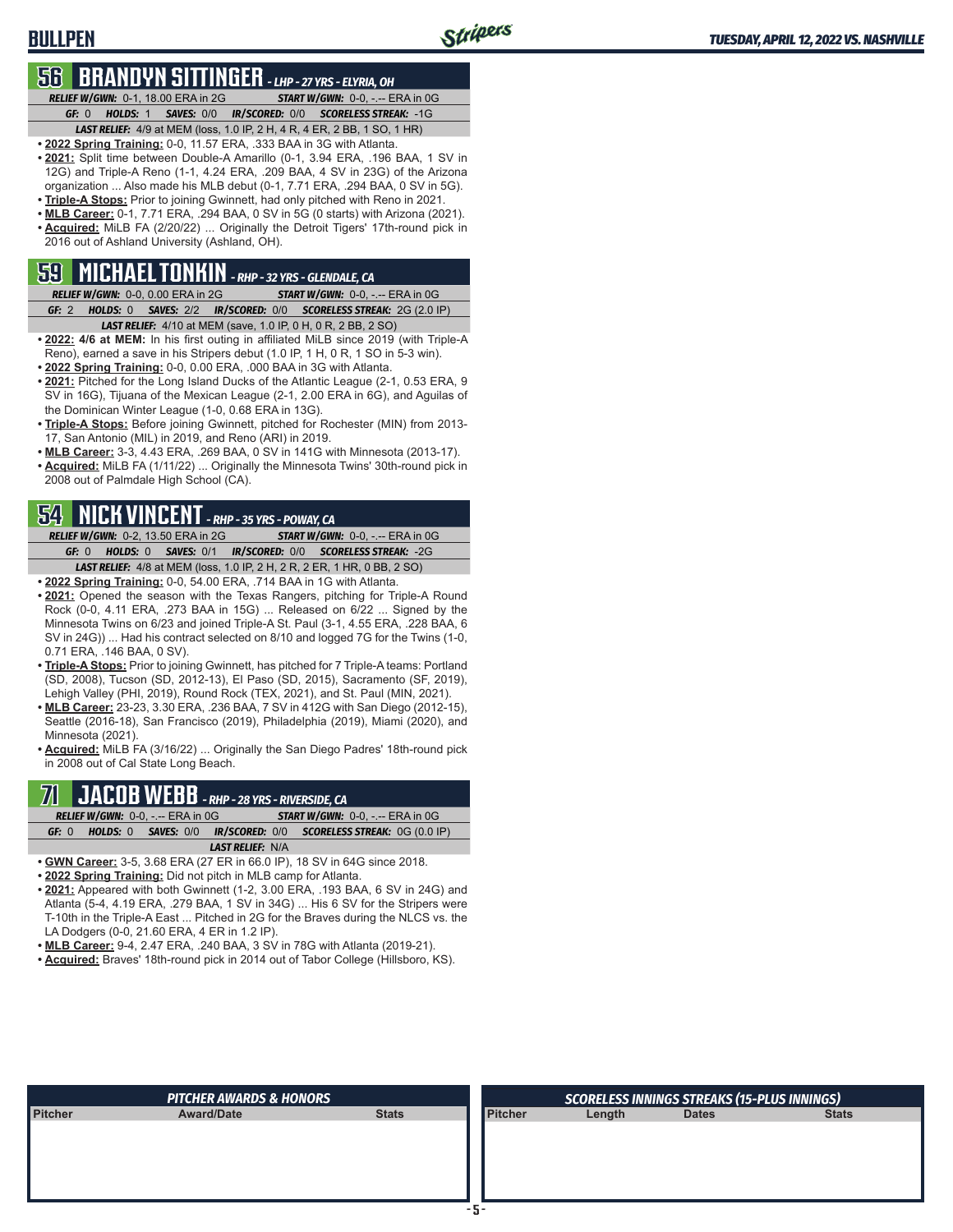### **BULLPEN**

# **56 BRANDYN SITTINGER** *- LHP - 27 YRS - ELYRIA, OH*

*RELIEF W/GWN:*0-1, 18.00 ERA in 2G *START W/GWN:*0-0, -.-- ERA in 0G *GF:*0 *HOLDS:*1 *SAVES:*0/0 *IR/SCORED:*0/0 *SCORELESS STREAK:*-1G *LAST RELIEF:*4/9 at MEM (loss, 1.0 IP, 2 H, 4 R, 4 ER, 2 BB, 1 SO, 1 HR)

- **• 2022 Spring Training:** 0-0, 11.57 ERA, .333 BAA in 3G with Atlanta.
- **• 2021:** Split time between Double-A Amarillo (0-1, 3.94 ERA, .196 BAA, 1 SV in 12G) and Triple-A Reno (1-1, 4.24 ERA, .209 BAA, 4 SV in 23G) of the Arizona organization ... Also made his MLB debut (0-1, 7.71 ERA, .294 BAA, 0 SV in 5G).
- **• Triple-A Stops:** Prior to joining Gwinnett, had only pitched with Reno in 2021.
- **• MLB Career:** 0-1, 7.71 ERA, .294 BAA, 0 SV in 5G (0 starts) with Arizona (2021). **• Acquired:** MiLB FA (2/20/22) ... Originally the Detroit Tigers' 17th-round pick in 2016 out of Ashland University (Ashland, OH).

# **59 MICHAEL TONKIN** *- RHP - 32 YRS - GLENDALE, CA*

- *RELIEF W/GWN:*0-0, 0.00 ERA in 2G *START W/GWN:*0-0, -.-- ERA in 0G *GF:*2 *HOLDS:*0 *SAVES:*2/2 *IR/SCORED:*0/0 *SCORELESS STREAK:*2G (2.0 IP) *LAST RELIEF:*4/10 at MEM (save, 1.0 IP, 0 H, 0 R, 2 BB, 2 SO)
- **• 2022: 4/6 at MEM:** In his first outing in affiliated MiLB since 2019 (with Triple-A Reno), earned a save in his Stripers debut (1.0 IP, 1 H, 0 R, 1 SO in 5-3 win).
- **• 2022 Spring Training:** 0-0, 0.00 ERA, .000 BAA in 3G with Atlanta.
- **• 2021:** Pitched for the Long Island Ducks of the Atlantic League (2-1, 0.53 ERA, 9 SV in 16G), Tijuana of the Mexican League (2-1, 2.00 ERA in 6G), and Aguilas of the Dominican Winter League (1-0, 0.68 ERA in 13G).
- **• Triple-A Stops:** Before joining Gwinnett, pitched for Rochester (MIN) from 2013- 17, San Antonio (MIL) in 2019, and Reno (ARI) in 2019.
- **• MLB Career:** 3-3, 4.43 ERA, .269 BAA, 0 SV in 141G with Minnesota (2013-17).
- **• Acquired:** MiLB FA (1/11/22) ... Originally the Minnesota Twins' 30th-round pick in 2008 out of Palmdale High School (CA).

### **54 NICK VINCENT** *- RHP - 35 YRS - POWAY, CA*

*RELIEF W/GWN:*0-2, 13.50 ERA in 2G *START W/GWN:*0-0, -.-- ERA in 0G *GF:*0 *HOLDS:*0 *SAVES:*0/1 *IR/SCORED:*0/0 *SCORELESS STREAK:*-2G *LAST RELIEF:*4/8 at MEM (loss, 1.0 IP, 2 H, 2 R, 2 ER, 1 HR, 0 BB, 2 SO)

- **• 2022 Spring Training:** 0-0, 54.00 ERA, .714 BAA in 1G with Atlanta.
- **• 2021:** Opened the season with the Texas Rangers, pitching for Triple-A Round Rock (0-0, 4.11 ERA, .273 BAA in 15G) ... Released on 6/22 ... Signed by the Minnesota Twins on 6/23 and joined Triple-A St. Paul (3-1, 4.55 ERA, .228 BAA, 6 SV in 24G)) ... Had his contract selected on 8/10 and logged 7G for the Twins (1-0, 0.71 ERA, .146 BAA, 0 SV).
- **• Triple-A Stops:** Prior to joining Gwinnett, has pitched for 7 Triple-A teams: Portland (SD, 2008), Tucson (SD, 2012-13), El Paso (SD, 2015), Sacramento (SF, 2019), Lehigh Valley (PHI, 2019), Round Rock (TEX, 2021), and St. Paul (MIN, 2021).
- **• MLB Career:** 23-23, 3.30 ERA, .236 BAA, 7 SV in 412G with San Diego (2012-15), Seattle (2016-18), San Francisco (2019), Philadelphia (2019), Miami (2020), and Minnesota (2021).

**• Acquired:** MiLB FA (3/16/22) ... Originally the San Diego Padres' 18th-round pick in 2008 out of Cal State Long Beach.

# **71 JACOB WEBB** *- RHP - 28 YRS - RIVERSIDE, CA*

| <b>RELIEF W/GWN: 0-0, -.-- ERA in 0G/</b> |                         | <b>START W/GWN: <math>0-0</math>.</b> -.-- ERA in $0G$           |
|-------------------------------------------|-------------------------|------------------------------------------------------------------|
| GF: 0                                     |                         | HOLDS: 0 SAVES: 0/0 IR/SCORED: 0/0 SCORELESS STREAK: 0G (0.0 IP) |
|                                           | <b>LAST RELIEF: N/A</b> |                                                                  |

- **• GWN Career:** 3-5, 3.68 ERA (27 ER in 66.0 IP), 18 SV in 64G since 2018.
- **• 2022 Spring Training:** Did not pitch in MLB camp for Atlanta.
- **• 2021:** Appeared with both Gwinnett (1-2, 3.00 ERA, .193 BAA, 6 SV in 24G) and Atlanta (5-4, 4.19 ERA, .279 BAA, 1 SV in 34G) ... His 6 SV for the Stripers were T-10th in the Triple-A East ... Pitched in 2G for the Braves during the NLCS vs. the LA Dodgers (0-0, 21.60 ERA, 4 ER in 1.2 IP).
- **• MLB Career:** 9-4, 2.47 ERA, .240 BAA, 3 SV in 78G with Atlanta (2019-21).
- **• Acquired:** Braves' 18th-round pick in 2014 out of Tabor College (Hillsboro, KS).

|                | <b>PITCHER AWARDS &amp; HONORS</b> |              |                | <b>SCORELESS INNINGS STREAKS (15-PLUS INNINGS)</b> |              |              |  |  |  |  |
|----------------|------------------------------------|--------------|----------------|----------------------------------------------------|--------------|--------------|--|--|--|--|
| <b>Pitcher</b> | <b>Award/Date</b>                  | <b>Stats</b> | <b>Pitcher</b> | Length                                             | <b>Dates</b> | <b>Stats</b> |  |  |  |  |
|                |                                    |              |                |                                                    |              |              |  |  |  |  |
|                |                                    |              |                |                                                    |              |              |  |  |  |  |
|                |                                    |              |                |                                                    |              |              |  |  |  |  |
|                |                                    |              |                |                                                    |              |              |  |  |  |  |
|                |                                    |              |                |                                                    |              |              |  |  |  |  |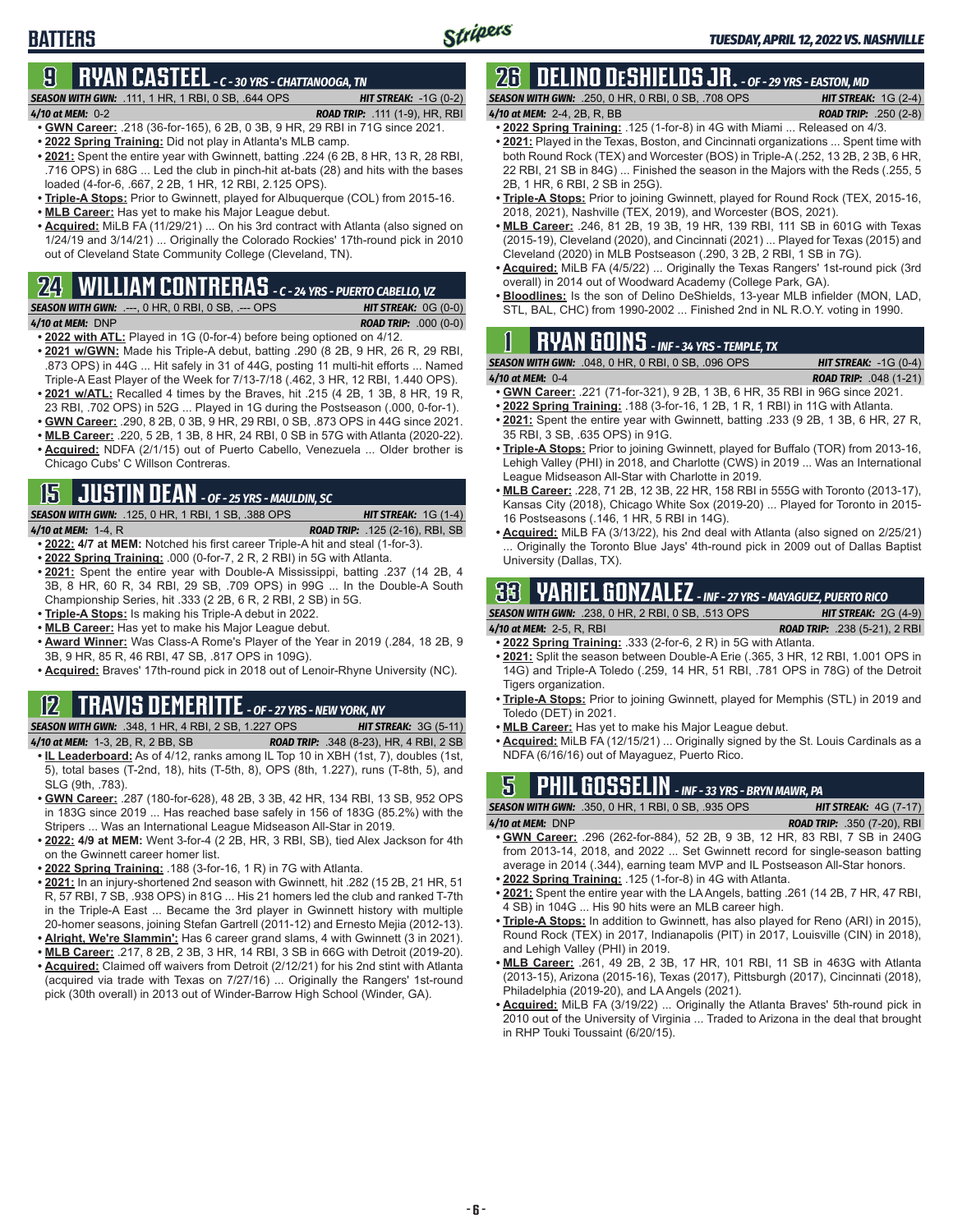# **9 RYAN CASTEEL** *- C - 30 YRS - CHATTANOOGA, TN*

*SEASON WITH GWN:*.111, 1 HR, 1 RBI, 0 SB, .644 OPS *HIT STREAK:* -1G (0-2)

**BATTERS**

*4/10 at MEM:*0-2 *ROAD TRIP:* .111 (1-9), HR, RBI

- **• GWN Career:** .218 (36-for-165), 6 2B, 0 3B, 9 HR, 29 RBI in 71G since 2021. **• 2022 Spring Training:** Did not play in Atlanta's MLB camp.
- **• 2021:** Spent the entire year with Gwinnett, batting .224 (6 2B, 8 HR, 13 R, 28 RBI, .716 OPS) in 68G ... Led the club in pinch-hit at-bats (28) and hits with the bases loaded (4-for-6, .667, 2 2B, 1 HR, 12 RBI, 2.125 OPS).
- **• Triple-A Stops:** Prior to Gwinnett, played for Albuquerque (COL) from 2015-16.
- **• MLB Career:** Has yet to make his Major League debut.
- **• Acquired:** MiLB FA (11/29/21) ... On his 3rd contract with Atlanta (also signed on 1/24/19 and 3/14/21) ... Originally the Colorado Rockies' 17th-round pick in 2010 out of Cleveland State Community College (Cleveland, TN).

### **24 WILLIAM CONTRERAS** *- C - 24 YRS - PUERTO CABELLO, VZ*

- *SEASON WITH GWN:*.---, 0 HR, 0 RBI, 0 SB, .--- OPS *HIT STREAK:* 0G (0-0) *4/10 at MEM:*DNP *ROAD TRIP:* .000 (0-0)
- **• 2022 with ATL:** Played in 1G (0-for-4) before being optioned on 4/12.
- **• 2021 w/GWN:** Made his Triple-A debut, batting .290 (8 2B, 9 HR, 26 R, 29 RBI, .873 OPS) in 44G ... Hit safely in 31 of 44G, posting 11 multi-hit efforts ... Named Triple-A East Player of the Week for 7/13-7/18 (.462, 3 HR, 12 RBI, 1.440 OPS).
- **• 2021 w/ATL:** Recalled 4 times by the Braves, hit .215 (4 2B, 1 3B, 8 HR, 19 R, 23 RBI, .702 OPS) in 52G ... Played in 1G during the Postseason (.000, 0-for-1).
- **• GWN Career:** .290, 8 2B, 0 3B, 9 HR, 29 RBI, 0 SB, .873 OPS in 44G since 2021.
- **• MLB Career:** .220, 5 2B, 1 3B, 8 HR, 24 RBI, 0 SB in 57G with Atlanta (2020-22).
- **• Acquired:** NDFA (2/1/15) out of Puerto Cabello, Venezuela ... Older brother is Chicago Cubs' C Willson Contreras.

# **15 JUSTIN DEAN** *- OF - 25 YRS - MAULDIN, SC*

*SEASON WITH GWN:*.125, 0 HR, 1 RBI, 1 SB, .388 OPS *HIT STREAK:* 1G (1-4)

- *4/10 at MEM:*1-4, R *ROAD TRIP:* .125 (2-16), RBI, SB **• 2022: 4/7 at MEM:** Notched his first career Triple-A hit and steal (1-for-3).
- **• 2022 Spring Training:** .000 (0-for-7, 2 R, 2 RBI) in 5G with Atlanta.
- **• 2021:** Spent the entire year with Double-A Mississippi, batting .237 (14 2B, 4 3B, 8 HR, 60 R, 34 RBI, 29 SB, .709 OPS) in 99G ... In the Double-A South Championship Series, hit .333 (2 2B, 6 R, 2 RBI, 2 SB) in 5G.
- **• Triple-A Stops:** Is making his Triple-A debut in 2022.
- **• MLB Career:** Has yet to make his Major League debut.
- **• Award Winner:** Was Class-A Rome's Player of the Year in 2019 (.284, 18 2B, 9 3B, 9 HR, 85 R, 46 RBI, 47 SB, .817 OPS in 109G).
- **• Acquired:** Braves' 17th-round pick in 2018 out of Lenoir-Rhyne University (NC).

# **12 TRAVIS DEMERITTE** *- OF - 27 YRS - NEW YORK, NY*

*SEASON WITH GWN:*.348, 1 HR, 4 RBI, 2 SB, 1.227 OPS *HIT STREAK:* 3G (5-11)

- *4/10 at MEM:*1-3, 2B, R, 2 BB, SB *ROAD TRIP:* .348 (8-23), HR, 4 RBI, 2 SB **• IL Leaderboard:** As of 4/12, ranks among IL Top 10 in XBH (1st, 7), doubles (1st,
- 5), total bases (T-2nd, 18), hits (T-5th, 8), OPS (8th, 1.227), runs (T-8th, 5), and SLG (9th, .783).
- **• GWN Career:** .287 (180-for-628), 48 2B, 3 3B, 42 HR, 134 RBI, 13 SB, 952 OPS in 183G since 2019 ... Has reached base safely in 156 of 183G (85.2%) with the Stripers ... Was an International League Midseason All-Star in 2019.
- **• 2022: 4/9 at MEM:** Went 3-for-4 (2 2B, HR, 3 RBI, SB), tied Alex Jackson for 4th on the Gwinnett career homer list.
- **• 2022 Spring Training:** .188 (3-for-16, 1 R) in 7G with Atlanta.
- **• 2021:** In an injury-shortened 2nd season with Gwinnett, hit .282 (15 2B, 21 HR, 51 R, 57 RBI, 7 SB, .938 OPS) in 81G ... His 21 homers led the club and ranked T-7th in the Triple-A East ... Became the 3rd player in Gwinnett history with multiple 20-homer seasons, joining Stefan Gartrell (2011-12) and Ernesto Mejia (2012-13).
- **• Alright, We're Slammin':** Has 6 career grand slams, 4 with Gwinnett (3 in 2021).
- **• MLB Career:** .217, 8 2B, 2 3B, 3 HR, 14 RBI, 3 SB in 66G with Detroit (2019-20). **• Acquired:** Claimed off waivers from Detroit (2/12/21) for his 2nd stint with Atlanta (acquired via trade with Texas on 7/27/16) ... Originally the Rangers' 1st-round pick (30th overall) in 2013 out of Winder-Barrow High School (Winder, GA).

# **26 DELINO DESHIELDS JR.** *- OF - 29 YRS - EASTON, MD*

*SEASON WITH GWN:*.250, 0 HR, 0 RBI, 0 SB, .708 OPS *HIT STREAK:* 1G (2-4) *4/10 at MEM:*2-4, 2B, R, BB *ROAD TRIP:* .250 (2-8)

- 
- **• 2022 Spring Training:** .125 (1-for-8) in 4G with Miami ... Released on 4/3. **• 2021:** Played in the Texas, Boston, and Cincinnati organizations ... Spent time with both Round Rock (TEX) and Worcester (BOS) in Triple-A (.252, 13 2B, 2 3B, 6 HR, 22 RBI, 21 SB in 84G) ... Finished the season in the Majors with the Reds (.255, 5 2B, 1 HR, 6 RBI, 2 SB in 25G).
- **• Triple-A Stops:** Prior to joining Gwinnett, played for Round Rock (TEX, 2015-16, 2018, 2021), Nashville (TEX, 2019), and Worcester (BOS, 2021).
- **• MLB Career:** .246, 81 2B, 19 3B, 19 HR, 139 RBI, 111 SB in 601G with Texas (2015-19), Cleveland (2020), and Cincinnati (2021) ... Played for Texas (2015) and Cleveland (2020) in MLB Postseason (.290, 3 2B, 2 RBI, 1 SB in 7G).
- **• Acquired:** MiLB FA (4/5/22) ... Originally the Texas Rangers' 1st-round pick (3rd overall) in 2014 out of Woodward Academy (College Park, GA).
- **• Bloodlines:** Is the son of Delino DeShields, 13-year MLB infielder (MON, LAD, STL, BAL, CHC) from 1990-2002 ... Finished 2nd in NL R.O.Y. voting in 1990.

# **1 RYAN GOINS** *- INF - 34 YRS - TEMPLE, TX*

|                             | <b>SEASON WITH GWN:</b> .048, 0 HR, 0 RBI, 0 SB, .096 OPS | <b>HIT STREAK:</b> $-1G(0-4)$   |  |
|-----------------------------|-----------------------------------------------------------|---------------------------------|--|
| $1.40 \rightarrow MEM. 0.4$ |                                                           | <b>DOAD TRID.</b> $0.40(4, 24)$ |  |

- *4/10 at MEM:*0-4 *ROAD TRIP:* .048 (1-21) **• GWN Career:** .221 (71-for-321), 9 2B, 1 3B, 6 HR, 35 RBI in 96G since 2021.
- **• 2022 Spring Training:** .188 (3-for-16, 1 2B, 1 R, 1 RBI) in 11G with Atlanta.
- **• 2021:** Spent the entire year with Gwinnett, batting .233 (9 2B, 1 3B, 6 HR, 27 R, 35 RBI, 3 SB, .635 OPS) in 91G.
- **• Triple-A Stops:** Prior to joining Gwinnett, played for Buffalo (TOR) from 2013-16, Lehigh Valley (PHI) in 2018, and Charlotte (CWS) in 2019 ... Was an International League Midseason All-Star with Charlotte in 2019.
- **• MLB Career:** .228, 71 2B, 12 3B, 22 HR, 158 RBI in 555G with Toronto (2013-17), Kansas City (2018), Chicago White Sox (2019-20) ... Played for Toronto in 2015- 16 Postseasons (.146, 1 HR, 5 RBI in 14G).
- **• Acquired:** MiLB FA (3/13/22), his 2nd deal with Atlanta (also signed on 2/25/21) Originally the Toronto Blue Jays' 4th-round pick in 2009 out of Dallas Baptist University (Dallas, TX).

# **33 YARIEL GONZALEZ** *- INF - 27 YRS - MAYAGUEZ, PUERTO RICO*

*SEASON WITH GWN:*.238, 0 HR, 2 RBI, 0 SB, .513 OPS *HIT STREAK:* 2G (4-9) *4/10 at MEM:*2-5, R, RBI *ROAD TRIP:* .238 (5-21), 2 RBI

- **• 2022 Spring Training:** .333 (2-for-6, 2 R) in 5G with Atlanta.
- **• 2021:** Split the season between Double-A Erie (.365, 3 HR, 12 RBI, 1.001 OPS in 14G) and Triple-A Toledo (.259, 14 HR, 51 RBI, .781 OPS in 78G) of the Detroit Tigers organization.
- **• Triple-A Stops:** Prior to joining Gwinnett, played for Memphis (STL) in 2019 and Toledo (DET) in 2021.
- **• MLB Career:** Has yet to make his Major League debut.
- **• Acquired:** MiLB FA (12/15/21) ... Originally signed by the St. Louis Cardinals as a NDFA (6/16/16) out of Mayaguez, Puerto Rico.

# **5 PHIL GOSSELIN** *- INF - 33 YRS - BRYN MAWR, PA*

*SEASON WITH GWN:*.350, 0 HR, 1 RBI, 0 SB, .935 OPS *HIT STREAK:* 4G (7-17) *4/10 at MEM:*DNP *ROAD TRIP:* .350 (7-20), RBI

- **• GWN Career:** .296 (262-for-884), 52 2B, 9 3B, 12 HR, 83 RBI, 7 SB in 240G from 2013-14, 2018, and 2022 ... Set Gwinnett record for single-season batting average in 2014 (.344), earning team MVP and IL Postseason All-Star honors.
- **• 2022 Spring Training:** .125 (1-for-8) in 4G with Atlanta.
- **• 2021:** Spent the entire year with the LA Angels, batting .261 (14 2B, 7 HR, 47 RBI, 4 SB) in 104G ... His 90 hits were an MLB career high.
- **• Triple-A Stops:** In addition to Gwinnett, has also played for Reno (ARI) in 2015), Round Rock (TEX) in 2017, Indianapolis (PIT) in 2017, Louisville (CIN) in 2018), and Lehigh Valley (PHI) in 2019.
- **• MLB Career:** .261, 49 2B, 2 3B, 17 HR, 101 RBI, 11 SB in 463G with Atlanta (2013-15), Arizona (2015-16), Texas (2017), Pittsburgh (2017), Cincinnati (2018), Philadelphia (2019-20), and LA Angels (2021).
- **• Acquired:** MiLB FA (3/19/22) ... Originally the Atlanta Braves' 5th-round pick in 2010 out of the University of Virginia ... Traded to Arizona in the deal that brought in RHP Touki Toussaint (6/20/15).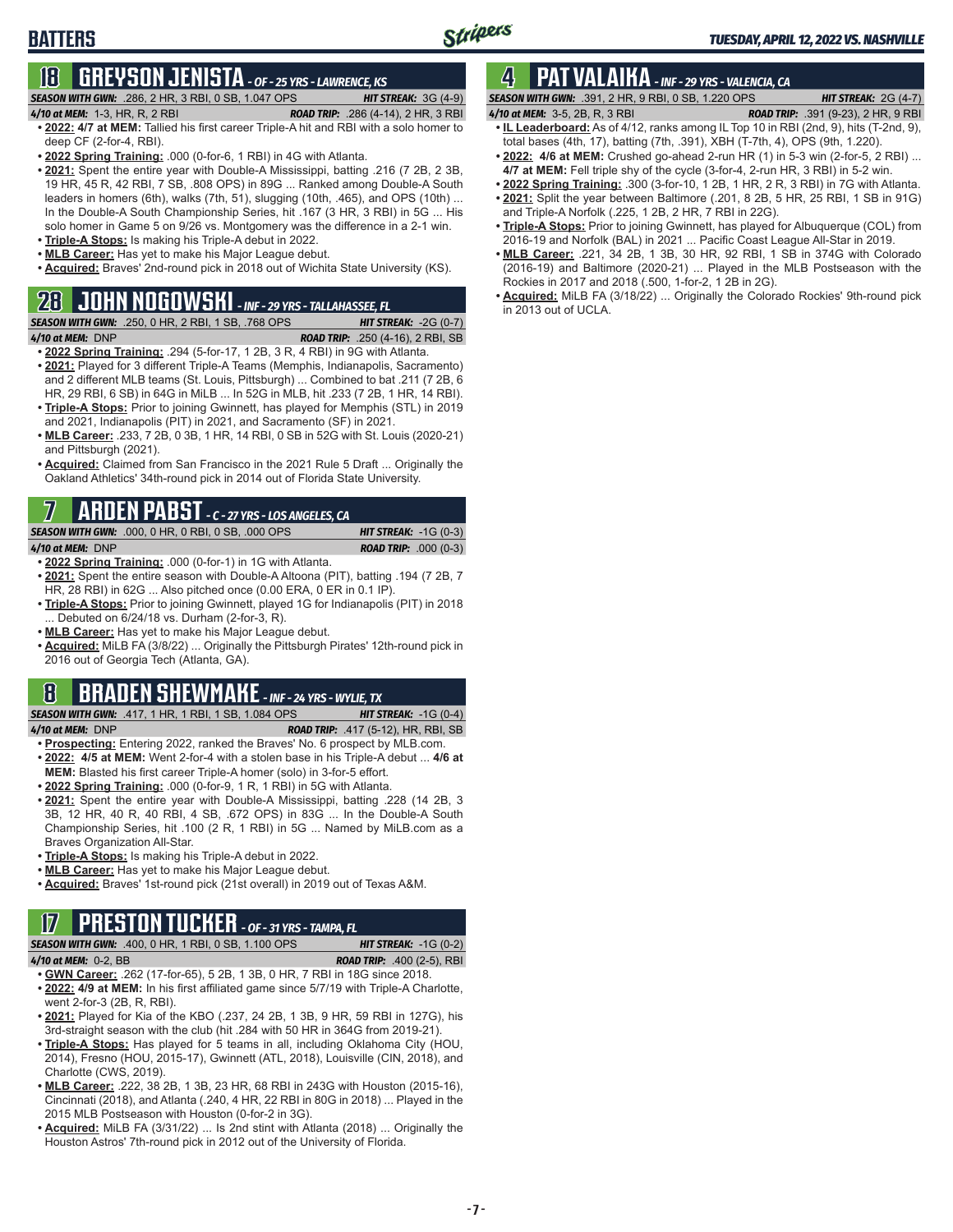# **18 GREYSON JENISTA** *- OF - 25 YRS - LAWRENCE, KS*

*SEASON WITH GWN:*.286, 2 HR, 3 RBI, 0 SB, 1.047 OPS *HIT STREAK:* 3G (4-9)

**BATTERS**

- 
- *4/10 at MEM:*1-3, HR, R, 2 RBI *ROAD TRIP:* .286 (4-14), 2 HR, 3 RBI **• 2022: 4/7 at MEM:** Tallied his first career Triple-A hit and RBI with a solo homer to deep CF (2-for-4, RBI).
- **• 2022 Spring Training:** .000 (0-for-6, 1 RBI) in 4G with Atlanta.
- **• 2021:** Spent the entire year with Double-A Mississippi, batting .216 (7 2B, 2 3B, 19 HR, 45 R, 42 RBI, 7 SB, .808 OPS) in 89G ... Ranked among Double-A South leaders in homers (6th), walks (7th, 51), slugging (10th, .465), and OPS (10th) ... In the Double-A South Championship Series, hit .167 (3 HR, 3 RBI) in 5G ... His solo homer in Game 5 on 9/26 vs. Montgomery was the difference in a 2-1 win.
- **• Triple-A Stops:** Is making his Triple-A debut in 2022.
- **• MLB Career:** Has yet to make his Major League debut.
- **• Acquired:** Braves' 2nd-round pick in 2018 out of Wichita State University (KS).

### **28 JOHN NOGOWSKI** *- INF - 29 YRS - TALLAHASSEE, FL*

*SEASON WITH GWN:*.250, 0 HR, 2 RBI, 1 SB, .768 OPS *HIT STREAK:* -2G (0-7)

*4/10 at MEM:*DNP *ROAD TRIP:* .250 (4-16), 2 RBI, SB **• 2022 Spring Training:** .294 (5-for-17, 1 2B, 3 R, 4 RBI) in 9G with Atlanta.

- **• 2021:** Played for 3 different Triple-A Teams (Memphis, Indianapolis, Sacramento) and 2 different MLB teams (St. Louis, Pittsburgh) ... Combined to bat .211 (7 2B, 6 HR, 29 RBI, 6 SB) in 64G in MiLB ... In 52G in MLB, hit .233 (7 2B, 1 HR, 14 RBI).
- **• Triple-A Stops:** Prior to joining Gwinnett, has played for Memphis (STL) in 2019 and 2021, Indianapolis (PIT) in 2021, and Sacramento (SF) in 2021.
- **• MLB Career:** .233, 7 2B, 0 3B, 1 HR, 14 RBI, 0 SB in 52G with St. Louis (2020-21) and Pittsburgh (2021).
- **• Acquired:** Claimed from San Francisco in the 2021 Rule 5 Draft ... Originally the Oakland Athletics' 34th-round pick in 2014 out of Florida State University.

# **7 ARDEN PABST** *- C - 27 YRS - LOS ANGELES, CA*

*SEASON WITH GWN:*.000, 0 HR, 0 RBI, 0 SB, .000 OPS *HIT STREAK:* -1G (0-3) *4/10 at MEM:*DNP *ROAD TRIP:* .000 (0-3)

- **• 2022 Spring Training:** .000 (0-for-1) in 1G with Atlanta.
- **• 2021:** Spent the entire season with Double-A Altoona (PIT), batting .194 (7 2B, 7 HR, 28 RBI) in 62G ... Also pitched once (0.00 ERA, 0 ER in 0.1 IP).
- **• Triple-A Stops:** Prior to joining Gwinnett, played 1G for Indianapolis (PIT) in 2018 ... Debuted on 6/24/18 vs. Durham (2-for-3, R).
- **• MLB Career:** Has yet to make his Major League debut.
- **• Acquired:** MiLB FA (3/8/22) ... Originally the Pittsburgh Pirates' 12th-round pick in 2016 out of Georgia Tech (Atlanta, GA).

# **8 BRADEN SHEWMAKE** *- INF - 24 YRS - WYLIE, TX*

*SEASON WITH GWN:*.417, 1 HR, 1 RBI, 1 SB, 1.084 OPS *HIT STREAK:* -1G (0-4)

*4/10 at MEM:*DNP *ROAD TRIP:* .417 (5-12), HR, RBI, SB

- **• Prospecting:** Entering 2022, ranked the Braves' No. 6 prospect by MLB.com. **• 2022: 4/5 at MEM:** Went 2-for-4 with a stolen base in his Triple-A debut ... **4/6 at**
- **MEM:** Blasted his first career Triple-A homer (solo) in 3-for-5 effort. **• 2022 Spring Training:** .000 (0-for-9, 1 R, 1 RBI) in 5G with Atlanta.
- **• 2021:** Spent the entire year with Double-A Mississippi, batting .228 (14 2B, 3 3B, 12 HR, 40 R, 40 RBI, 4 SB, .672 OPS) in 83G ... In the Double-A South Championship Series, hit .100 (2 R, 1 RBI) in 5G ... Named by MiLB.com as a Braves Organization All-Star.
- **• Triple-A Stops:** Is making his Triple-A debut in 2022.
- **• MLB Career:** Has yet to make his Major League debut.
- **• Acquired:** Braves' 1st-round pick (21st overall) in 2019 out of Texas A&M.

### **17 PRESTON TUCKER** *- OF - 31 YRS - TAMPA, FL*

*SEASON WITH GWN:*.400, 0 HR, 1 RBI, 0 SB, 1.100 OPS *HIT STREAK:* -1G (0-2)

*4/10 at MEM:*0-2, BB *ROAD TRIP:* .400 (2-5), RBI

- **• GWN Career:** .262 (17-for-65), 5 2B, 1 3B, 0 HR, 7 RBI in 18G since 2018. **• 2022: 4/9 at MEM:** In his first affiliated game since 5/7/19 with Triple-A Charlotte,
- went 2-for-3 (2B, R, RBI). **• 2021:** Played for Kia of the KBO (.237, 24 2B, 1 3B, 9 HR, 59 RBI in 127G), his 3rd-straight season with the club (hit .284 with 50 HR in 364G from 2019-21).
- **• Triple-A Stops:** Has played for 5 teams in all, including Oklahoma City (HOU, 2014), Fresno (HOU, 2015-17), Gwinnett (ATL, 2018), Louisville (CIN, 2018), and Charlotte (CWS, 2019).
- **• MLB Career:** .222, 38 2B, 1 3B, 23 HR, 68 RBI in 243G with Houston (2015-16), Cincinnati (2018), and Atlanta (.240, 4 HR, 22 RBI in 80G in 2018) ... Played in the 2015 MLB Postseason with Houston (0-for-2 in 3G).
- **• Acquired:** MiLB FA (3/31/22) ... Is 2nd stint with Atlanta (2018) ... Originally the Houston Astros' 7th-round pick in 2012 out of the University of Florida.

# **4 PAT VALAIKA** *- INF - 29 YRS - VALENCIA, CA*

*SEASON WITH GWN:*.391, 2 HR, 9 RBI, 0 SB, 1.220 OPS *HIT STREAK:* 2G (4-7)

- *4/10 at MEM:*3-5, 2B, R, 3 RBI *ROAD TRIP:* .391 (9-23), 2 HR, 9 RBI **• IL Leaderboard:** As of 4/12, ranks among IL Top 10 in RBI (2nd, 9), hits (T-2nd, 9), total bases (4th, 17), batting (7th, .391), XBH (T-7th, 4), OPS (9th, 1.220).
- **• 2022: 4/6 at MEM:** Crushed go-ahead 2-run HR (1) in 5-3 win (2-for-5, 2 RBI) ...
- **4/7 at MEM:** Fell triple shy of the cycle (3-for-4, 2-run HR, 3 RBI) in 5-2 win.
- **• 2022 Spring Training:** .300 (3-for-10, 1 2B, 1 HR, 2 R, 3 RBI) in 7G with Atlanta.
- **• 2021:** Split the year between Baltimore (.201, 8 2B, 5 HR, 25 RBI, 1 SB in 91G) and Triple-A Norfolk (.225, 1 2B, 2 HR, 7 RBI in 22G).
- **• Triple-A Stops:** Prior to joining Gwinnett, has played for Albuquerque (COL) from 2016-19 and Norfolk (BAL) in 2021 ... Pacific Coast League All-Star in 2019.
- **• MLB Career:** .221, 34 2B, 1 3B, 30 HR, 92 RBI, 1 SB in 374G with Colorado (2016-19) and Baltimore (2020-21) ... Played in the MLB Postseason with the Rockies in 2017 and 2018 (.500, 1-for-2, 1 2B in 2G).
- **• Acquired:** MiLB FA (3/18/22) ... Originally the Colorado Rockies' 9th-round pick in 2013 out of UCLA.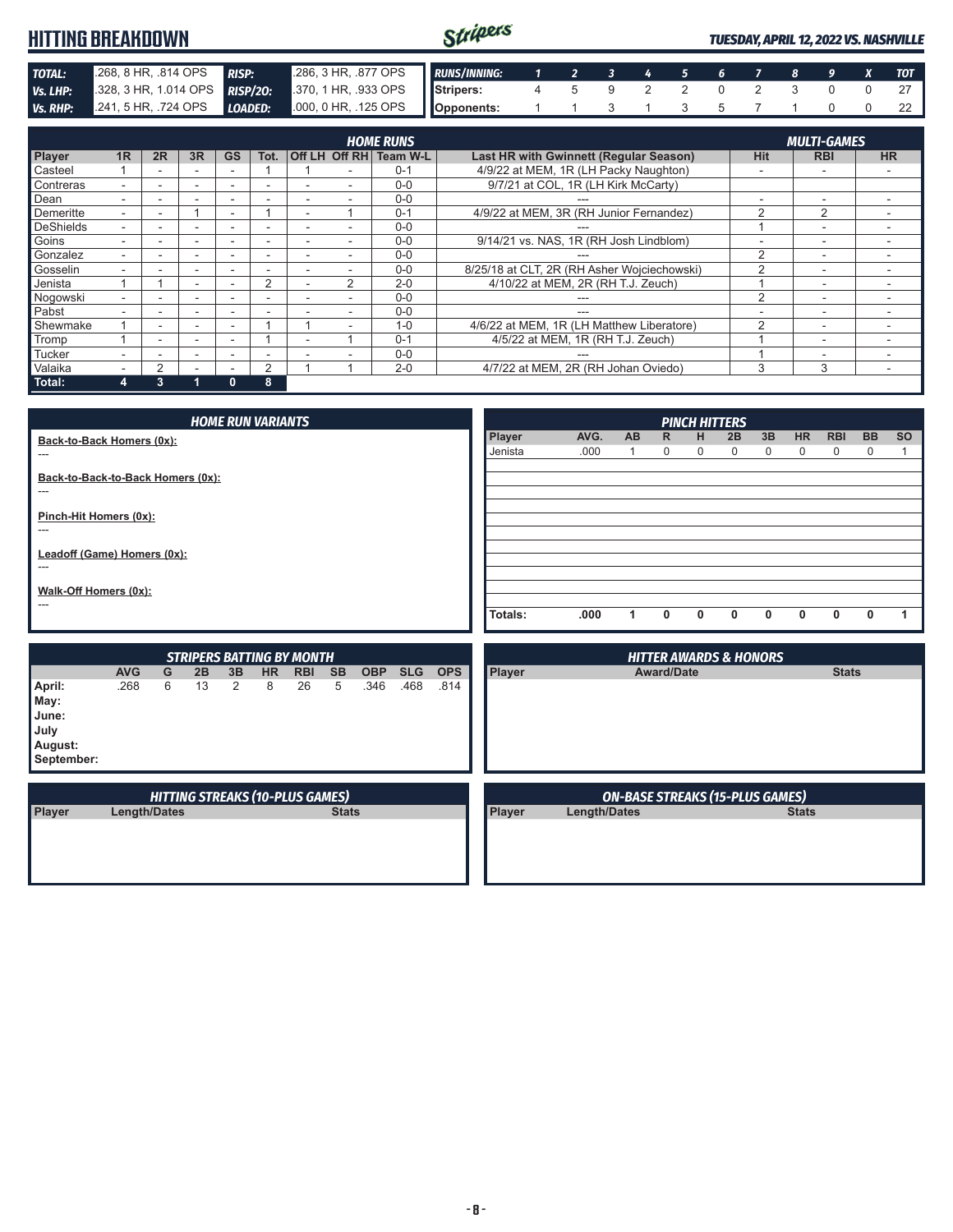#### Stripers **HITTING BREAKDOWN** *TUESDAY, APRIL 12, 2022 VS. NASHVILLE* **TOTAL:** .268, 8 HR, .814 OPS *RISP:* .286, 3 HR, .877 OPS<br>**Vs. LHP:** .328, 3 HR, 1.014 OPS *RISP/20:* .370, 1 HR, .933 OPS *RUNS/INNING: 1 2 3 4 5 6 7 8 9 X TOT Vs. LHP:* .328, 3 HR, 1.014 OPS **RISP/20: Stripers:** 4 5 9 2 2 0 2 3 0 0 27 *Vs. RHP:* .241, 5 HR, .724 OPS *LOADED:* .000, 0 HR, .125 OPS **Opponents:** 1 1 3 1 3 5 7 1 0 0 22

|                  | <b>MULTI-GAMES</b><br><b>HOME RUNS</b> |    |                          |                          |      |                          |   |                        |                                             |                |                          |           |
|------------------|----------------------------------------|----|--------------------------|--------------------------|------|--------------------------|---|------------------------|---------------------------------------------|----------------|--------------------------|-----------|
| Player           | 1R                                     | 2R | 3R                       | <b>GS</b>                | Tot. |                          |   | Off LH Off RH Team W-L | Last HR with Gwinnett (Regular Season)      | <b>Hit</b>     | <b>RBI</b>               | <b>HR</b> |
| Casteel          |                                        |    |                          |                          |      |                          |   | $0 - 1$                | 4/9/22 at MEM, 1R (LH Packy Naughton)       |                | $\overline{\phantom{a}}$ |           |
| Contreras        |                                        |    |                          |                          | -    |                          |   | $0 - 0$                | 9/7/21 at COL, 1R (LH Kirk McCarty)         |                |                          |           |
| Dean             |                                        |    |                          |                          |      |                          |   | $0 - 0$                |                                             |                | -                        |           |
| Demeritte        |                                        |    |                          | $\overline{\phantom{a}}$ |      | $\overline{\phantom{a}}$ |   | $0 - 1$                | 4/9/22 at MEM, 3R (RH Junior Fernandez)     | 2              | 2                        |           |
| <b>DeShields</b> |                                        |    | -                        |                          | -    |                          |   | $0 - 0$                |                                             |                | $\overline{\phantom{a}}$ |           |
| Goins            |                                        |    | -                        |                          | -    |                          |   | $0 - 0$                | 9/14/21 vs. NAS, 1R (RH Josh Lindblom)      | ۰              | ٠                        |           |
| Gonzalez         |                                        |    |                          |                          | -    |                          |   | $0 - 0$                |                                             | $\mathcal{P}$  | $\overline{\phantom{a}}$ |           |
| Gosselin         |                                        |    |                          |                          |      |                          |   | $0 - 0$                | 8/25/18 at CLT, 2R (RH Asher Wojciechowski) | $\mathcal{P}$  | $\overline{\phantom{a}}$ |           |
| Jenista          |                                        |    | ۰.                       |                          | 2    |                          | 2 | $2 - 0$                | 4/10/22 at MEM, 2R (RH T.J. Zeuch)          |                | $\overline{\phantom{a}}$ |           |
| Nogowski         |                                        |    | $\overline{\phantom{0}}$ |                          | -    |                          |   | $0 - 0$                | ---                                         | $\overline{2}$ | $\overline{\phantom{a}}$ |           |
| Pabst            |                                        |    |                          |                          |      |                          |   | $0 - 0$                | ---                                         |                | $\overline{\phantom{0}}$ |           |
| Shewmake         |                                        |    | ۰.                       |                          |      |                          |   | $1 - 0$                | 4/6/22 at MEM, 1R (LH Matthew Liberatore)   | $\mathcal{P}$  | $\overline{\phantom{a}}$ |           |
| Tromp            |                                        |    | ۰.                       |                          |      | ÷                        |   | $0 - 1$                | 4/5/22 at MEM, 1R (RH T.J. Zeuch)           |                | $\overline{\phantom{a}}$ |           |
| <b>Tucker</b>    |                                        |    |                          |                          | -    |                          |   | $0 - 0$                |                                             |                | -                        | -         |
| Valaika          |                                        | っ  |                          |                          | 2    |                          |   | $2 - 0$                | 4/7/22 at MEM, 2R (RH Johan Oviedo)         | 3              | 3                        |           |
| Total:           | 4                                      | 3  |                          | 0                        | 8    |                          |   |                        |                                             |                |                          |           |

|                                                                                                                                                              | <b>HOME RUN VARIANTS</b>               |        |    |    |                |                                                |                |                    |            |                    |                                                                        |                                        | <b>PINCH HITTERS</b> |              |   |              |    |             |            |           |           |
|--------------------------------------------------------------------------------------------------------------------------------------------------------------|----------------------------------------|--------|----|----|----------------|------------------------------------------------|----------------|--------------------|------------|--------------------|------------------------------------------------------------------------|----------------------------------------|----------------------|--------------|---|--------------|----|-------------|------------|-----------|-----------|
|                                                                                                                                                              | Back-to-Back Homers (0x):              |        |    |    |                |                                                |                |                    |            |                    |                                                                        | AVG.                                   | <b>AB</b>            | R            | н | 2B           | 3B | <b>HR</b>   | <b>RBI</b> | <b>BB</b> | <b>SO</b> |
| $---$                                                                                                                                                        |                                        |        |    |    |                |                                                |                |                    |            | Jenista            | .000                                                                   |                                        | 0                    | 0            | 0 | 0            | 0  | $\mathbf 0$ | 0          |           |           |
| Back-to-Back-to-Back Homers (0x):<br>$\overline{a}$<br>Pinch-Hit Homers (0x):<br>$---$<br>Leadoff (Game) Homers (0x):<br>---<br>Walk-Off Homers (0x):<br>--- |                                        |        |    |    |                |                                                |                | Totals:            | .000       | 1                  | $\mathbf{0}$                                                           | 0                                      | $\mathbf{0}$         | $\mathbf{0}$ | 0 | $\mathbf{0}$ | 0  | 1           |            |           |           |
|                                                                                                                                                              |                                        |        |    |    |                |                                                |                |                    |            |                    |                                                                        |                                        |                      |              |   |              |    |             |            |           |           |
|                                                                                                                                                              | <b>AVG</b>                             |        | 2B | 3B |                | <b>STRIPERS BATTING BY MONTH</b><br><b>RBI</b> |                |                    | <b>SLG</b> |                    | <b>HITTER AWARDS &amp; HONORS</b><br><b>Stats</b><br><b>Award/Date</b> |                                        |                      |              |   |              |    |             |            |           |           |
| April:<br>May:<br>June:<br>July<br>August:<br>September:                                                                                                     | .268                                   | G<br>6 | 13 | 2  | <b>HR</b><br>8 | 26                                             | <b>SB</b><br>5 | <b>OBP</b><br>.346 | .468       | <b>OPS</b><br>.814 | Player                                                                 |                                        |                      |              |   |              |    |             |            |           |           |
|                                                                                                                                                              | <b>HITTING STREAKS (10-PLUS GAMES)</b> |        |    |    |                |                                                |                |                    |            |                    |                                                                        | <b>ON-BASE STREAKS (15-PLUS GAMES)</b> |                      |              |   |              |    |             |            |           |           |

**Player Length/Dates Stats**

**Player Length/Dates Stats**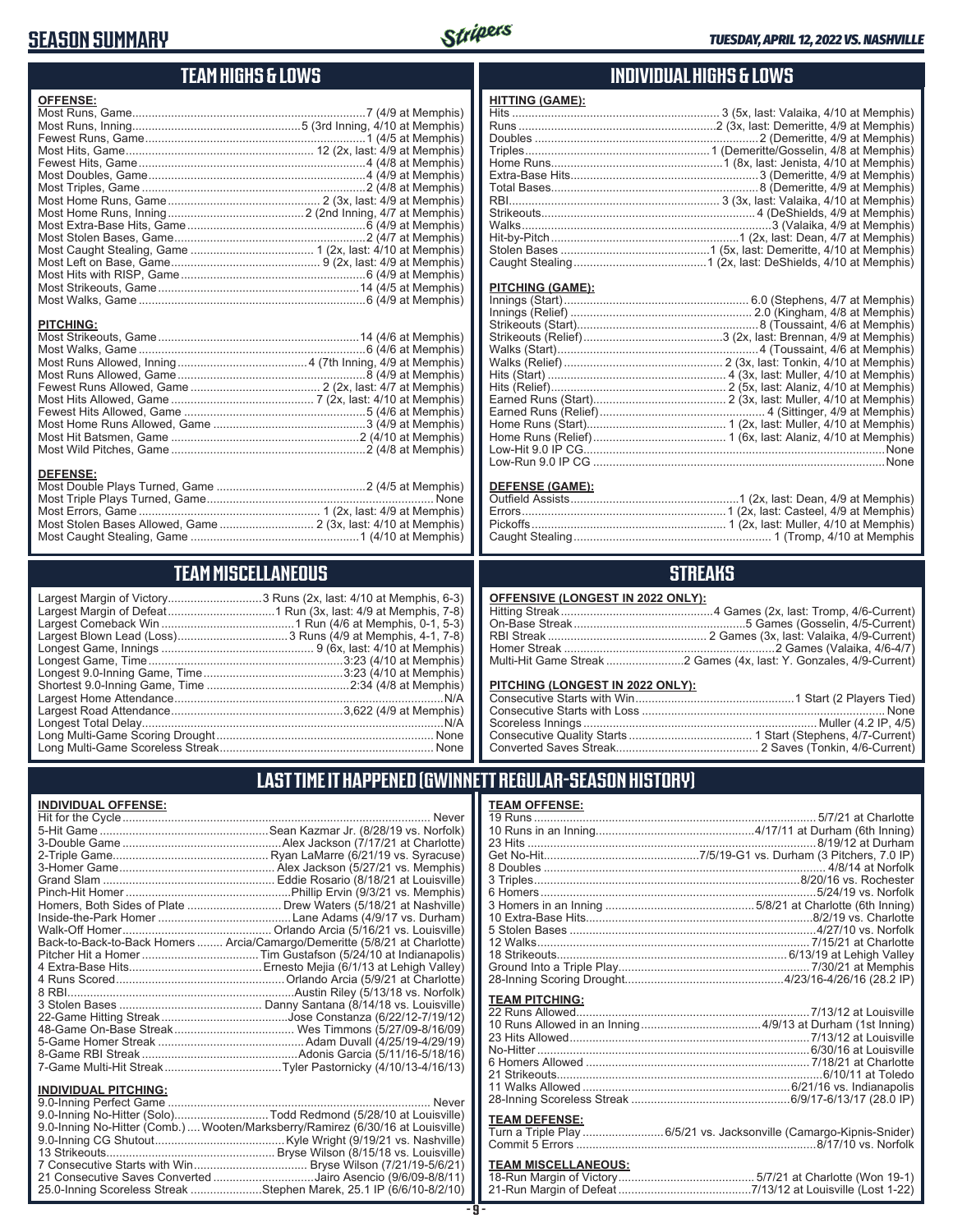# **SEASON SUMMARY**



# **TEAM HIGHS & LOWS**

| <b>OFFENSE:</b>                     |  |
|-------------------------------------|--|
|                                     |  |
| <b>PITCHING:</b><br><b>DEFENSE:</b> |  |
|                                     |  |

# Most Caught Stealing, Game ....................................................1 (4/10 at Memphis) **TEAM MISCELLANEOUS**

Most Stolen Bases Allowed, Game ............................. 2 (3x, last: 4/10 at Memphis)

| Largest Margin of Victory3 Runs (2x, last: 4/10 at Memphis, 6-3) |  |
|------------------------------------------------------------------|--|
|                                                                  |  |
|                                                                  |  |
|                                                                  |  |
|                                                                  |  |
|                                                                  |  |
|                                                                  |  |
|                                                                  |  |
|                                                                  |  |
|                                                                  |  |
|                                                                  |  |
|                                                                  |  |
|                                                                  |  |

### **INDIVIDUAL HIGHS & LOWS**

| <b>HITTING (GAME):</b> |  |
|------------------------|--|
|                        |  |
|                        |  |
|                        |  |
|                        |  |
|                        |  |
|                        |  |
|                        |  |
|                        |  |
|                        |  |
|                        |  |
|                        |  |
|                        |  |
|                        |  |

#### **PITCHING (GAME):**

| None |
|------|
|      |

#### **DEFENSE (GAME):**

### **STREAKS**

#### **OFFENSIVE (LONGEST IN 2022 ONLY):**

| <u> U. . Enuite (Europeul III euse Unei II</u> |  |
|------------------------------------------------|--|
|                                                |  |
|                                                |  |
|                                                |  |
|                                                |  |
|                                                |  |
|                                                |  |

#### **PITCHING (LONGEST IN 2022 ONLY):**

19 Runs ....................................................................................... 5/7/21 at Charlotte 10 Runs in an Inning.................................................4/17/11 at Durham (6th Inning) 23 Hits .........................................................................................8/19/12 at Durham Get No-Hit................................................7/5/19-G1 vs. Durham (3 Pitchers, 7.0 IP) 8 Doubles ....................................................................................... 4/8/14 at Norfolk 3 Triples..................................................................................8/20/16 vs. Rochester

# **LAST TIME IT HAPPENED (GWINNETT REGULAR-SEASON HISTORY)**

#### **INDIVIDUAL OFFENSE:**

|                                                        | Homers, Both Sides of Plate  Drew Waters (5/18/21 at Nashville)            |
|--------------------------------------------------------|----------------------------------------------------------------------------|
|                                                        |                                                                            |
|                                                        |                                                                            |
|                                                        | Back-to-Back-to-Back Homers  Arcia/Camargo/Demeritte (5/8/21 at Charlotte) |
|                                                        |                                                                            |
|                                                        |                                                                            |
|                                                        |                                                                            |
|                                                        |                                                                            |
|                                                        |                                                                            |
|                                                        |                                                                            |
|                                                        |                                                                            |
|                                                        |                                                                            |
|                                                        |                                                                            |
|                                                        |                                                                            |
|                                                        |                                                                            |
| <b>INDIVIDUAL PITCHING:</b><br>0.0 Inning Dorfoot Camp | Nover                                                                      |

| 9.0-Inning No-Hitter (Solo)Todd Redmond (5/28/10 at Louisville)                |
|--------------------------------------------------------------------------------|
| 9.0-Inning No-Hitter (Comb.) Wooten/Marksberry/Ramirez (6/30/16 at Louisville) |
|                                                                                |
|                                                                                |
|                                                                                |
| 21 Consecutive Saves Converted Jairo Asencio (9/6/09-8/8/11)                   |
| 25.0-Inning Scoreless Streak Stephen Marek, 25.1 IP (6/6/10-8/2/10)            |

**TEAM OFFENSE:**

| <b>TEAM PITCHING:</b> |  |
|-----------------------|--|
|                       |  |
|                       |  |
|                       |  |
|                       |  |
|                       |  |
|                       |  |
|                       |  |
|                       |  |

#### **TEAM DEFENSE:**

| Turn a Triple Play 6/5/21 vs. Jacksonville (Camargo-Kipnis-Snider) |
|--------------------------------------------------------------------|
|                                                                    |

# **TEAM MISCELLANEOUS:**<br>18-Run Margin of Victory....